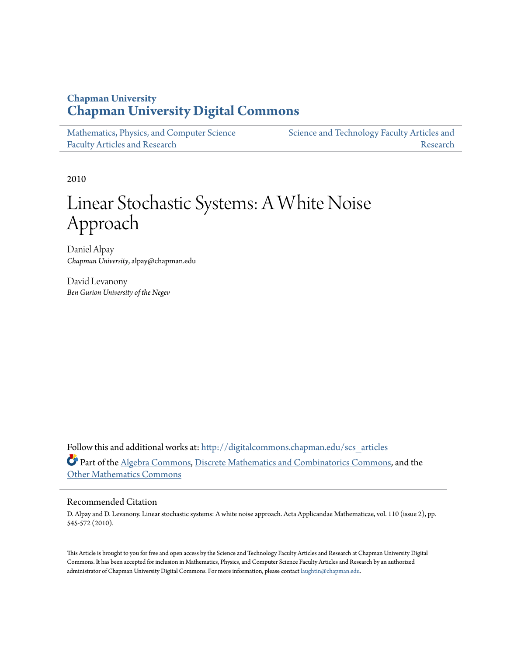### **Chapman University [Chapman University Digital Commons](http://digitalcommons.chapman.edu?utm_source=digitalcommons.chapman.edu%2Fscs_articles%2F424&utm_medium=PDF&utm_campaign=PDFCoverPages)**

| Mathematics, Physics, and Computer Science | Science and Technology Faculty Articles and |
|--------------------------------------------|---------------------------------------------|
| <b>Faculty Articles and Research</b>       | Research                                    |

2010

# Linear Stochastic Systems: A White Noise Approach

Daniel Alpay *Chapman University*, alpay@chapman.edu

David Levanony *Ben Gurion University of the Negev*

Follow this and additional works at: [http://digitalcommons.chapman.edu/scs\\_articles](http://digitalcommons.chapman.edu/scs_articles?utm_source=digitalcommons.chapman.edu%2Fscs_articles%2F424&utm_medium=PDF&utm_campaign=PDFCoverPages) Part of the [Algebra Commons,](http://network.bepress.com/hgg/discipline/175?utm_source=digitalcommons.chapman.edu%2Fscs_articles%2F424&utm_medium=PDF&utm_campaign=PDFCoverPages) [Discrete Mathematics and Combinatorics Commons](http://network.bepress.com/hgg/discipline/178?utm_source=digitalcommons.chapman.edu%2Fscs_articles%2F424&utm_medium=PDF&utm_campaign=PDFCoverPages), and the [Other Mathematics Commons](http://network.bepress.com/hgg/discipline/185?utm_source=digitalcommons.chapman.edu%2Fscs_articles%2F424&utm_medium=PDF&utm_campaign=PDFCoverPages)

#### Recommended Citation

D. Alpay and D. Levanony. Linear stochastic systems: A white noise approach. Acta Applicandae Mathematicae, vol. 110 (issue 2), pp. 545-572 (2010).

This Article is brought to you for free and open access by the Science and Technology Faculty Articles and Research at Chapman University Digital Commons. It has been accepted for inclusion in Mathematics, Physics, and Computer Science Faculty Articles and Research by an authorized administrator of Chapman University Digital Commons. For more information, please contact [laughtin@chapman.edu.](mailto:laughtin@chapman.edu)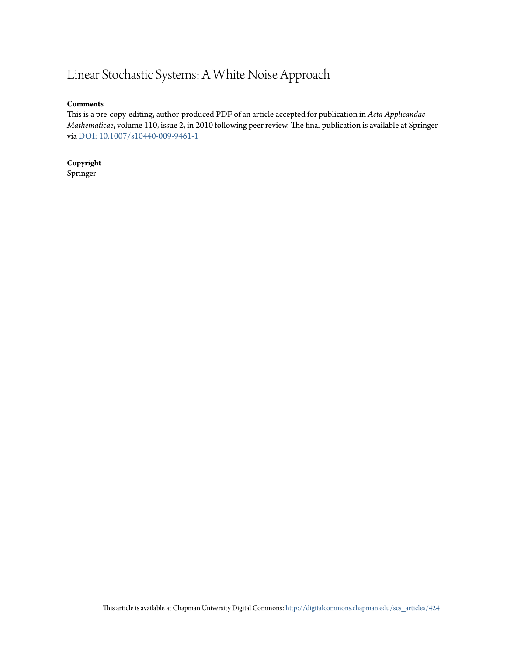## Linear Stochastic Systems: A White Noise Approach

#### **Comments**

This is a pre-copy-editing, author-produced PDF of an article accepted for publication in *Acta Applicandae Mathematicae*, volume 110, issue 2, in 2010 following peer review. The final publication is available at Springer via [DOI: 10.1007/s10440-009-9461-1](http://dx.doi.org/10.1007/s10440-009-9461-1)

**Copyright** Springer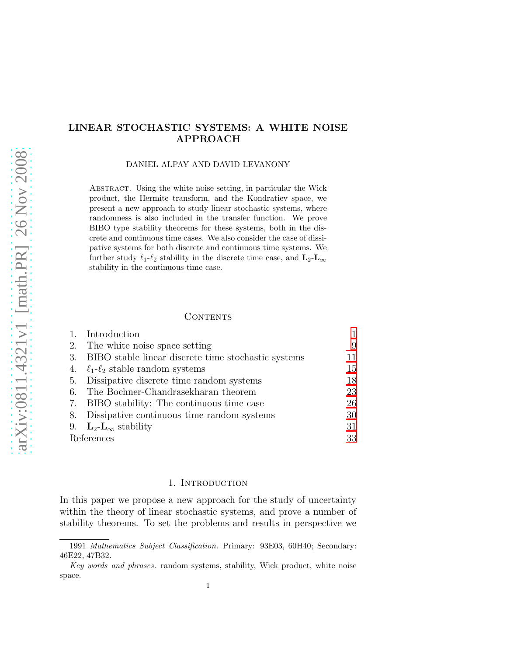#### LINEAR STOCHASTIC SYSTEMS: A WHITE NOISE APPROACH

DANIEL ALPAY AND DAVID LEVANONY

Abstract. Using the white noise setting, in particular the Wick product, the Hermite transform, and the Kondratiev space, we present a new approach to study linear stochastic systems, where randomness is also included in the transfer function. We prove BIBO type stability theorems for these systems, both in the discrete and continuous time cases. We also consider the case of dissipative systems for both discrete and continuous time systems. We further study  $\ell_1$ - $\ell_2$  stability in the discrete time case, and  $\mathbf{L}_2$ - $\mathbf{L}_{\infty}$ stability in the continuous time case.

#### **CONTENTS**

|    | Introduction                                        |    |
|----|-----------------------------------------------------|----|
| 2. | The white noise space setting                       | 9  |
| 3. | BIBO stable linear discrete time stochastic systems | 11 |
|    | 4. $\ell_1$ - $\ell_2$ stable random systems        | 15 |
|    | 5. Dissipative discrete time random systems         | 18 |
| 6. | The Bochner-Chandrasekharan theorem                 | 23 |
|    | 7. BIBO stability: The continuous time case         | 26 |
|    | 8. Dissipative continuous time random systems       | 30 |
|    | 9. $\mathbf{L}_2$ - $\mathbf{L}_{\infty}$ stability | 31 |
|    | References                                          | 33 |

#### 1. INTRODUCTION

<span id="page-2-0"></span>In this paper we propose a new approach for the study of uncertainty within the theory of linear stochastic systems, and prove a number of stability theorems. To set the problems and results in perspective we

<sup>1991</sup> *Mathematics Subject Classification.* Primary: 93E03, 60H40; Secondary: 46E22, 47B32.

*Key words and phrases.* random systems, stability, Wick product, white noise space.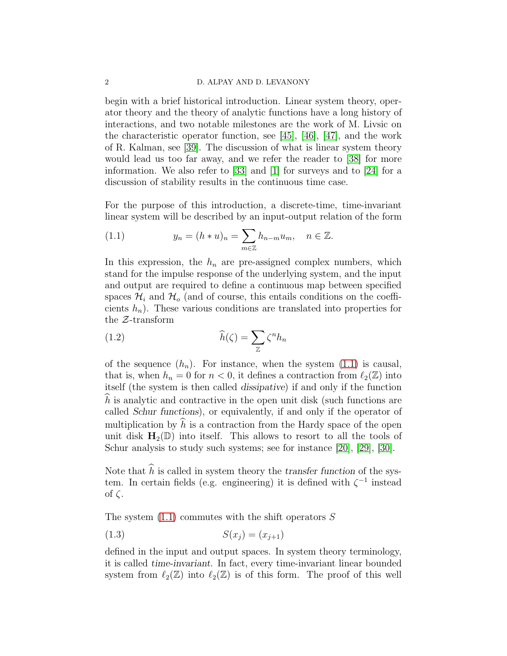#### 2 D. ALPAY AND D. LEVANONY

begin with a brief historical introduction. Linear system theory, operator theory and the theory of analytic functions have a long history of interactions, and two notable milestones are the work of M. Livsic on the characteristic operator function, see [\[45\]](#page-37-0), [\[46\]](#page-37-1), [\[47\]](#page-37-2), and the work of R. Kalman, see [\[39\]](#page-36-0). The discussion of what is linear system theory would lead us too far away, and we refer the reader to [\[38\]](#page-36-1) for more information. We also refer to [\[33\]](#page-36-2) and [\[1\]](#page-34-1) for surveys and to [\[24\]](#page-36-3) for a discussion of stability results in the continuous time case.

For the purpose of this introduction, a discrete-time, time-invariant linear system will be described by an input-output relation of the form

<span id="page-3-0"></span>(1.1) 
$$
y_n = (h * u)_n = \sum_{m \in \mathbb{Z}} h_{n-m} u_m, \quad n \in \mathbb{Z}.
$$

In this expression, the  $h_n$  are pre-assigned complex numbers, which stand for the impulse response of the underlying system, and the input and output are required to define a continuous map between specified spaces  $\mathcal{H}_i$  and  $\mathcal{H}_o$  (and of course, this entails conditions on the coefficients  $h_n$ ). These various conditions are translated into properties for the Z-transform

<span id="page-3-1"></span>(1.2) 
$$
\widehat{h}(\zeta) = \sum_{\mathbb{Z}} \zeta^n h_n
$$

of the sequence  $(h_n)$ . For instance, when the system  $(1.1)$  is causal, that is, when  $h_n = 0$  for  $n < 0$ , it defines a contraction from  $\ell_2(\mathbb{Z})$  into itself (the system is then called dissipative) if and only if the function  $h$  is analytic and contractive in the open unit disk (such functions are called Schur functions), or equivalently, if and only if the operator of multiplication by  $\hat{h}$  is a contraction from the Hardy space of the open unit disk  $H_2(\mathbb{D})$  into itself. This allows to resort to all the tools of Schur analysis to study such systems; see for instance [\[20\]](#page-35-0), [\[29\]](#page-36-4), [\[30\]](#page-36-5).

Note that  $\hat{h}$  is called in system theory the transfer function of the system. In certain fields (e.g. engineering) it is defined with  $\zeta^{-1}$  instead of ζ.

The system  $(1.1)$  commutes with the shift operators S

<span id="page-3-2"></span>
$$
(1.3) \tS(x_j) = (x_{j+1})
$$

defined in the input and output spaces. In system theory terminology, it is called time-invariant. In fact, every time-invariant linear bounded system from  $\ell_2(\mathbb{Z})$  into  $\ell_2(\mathbb{Z})$  is of this form. The proof of this well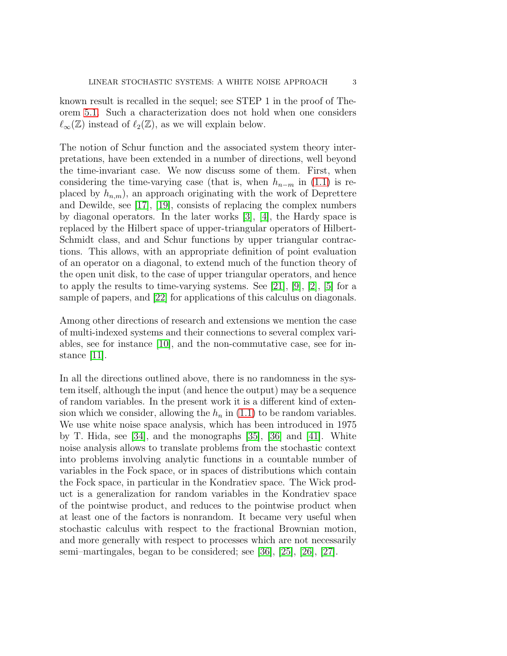known result is recalled in the sequel; see STEP 1 in the proof of Theorem [5.1.](#page-19-1) Such a characterization does not hold when one considers  $\ell_{\infty}(\mathbb{Z})$  instead of  $\ell_2(\mathbb{Z})$ , as we will explain below.

The notion of Schur function and the associated system theory interpretations, have been extended in a number of directions, well beyond the time-invariant case. We now discuss some of them. First, when considering the time-varying case (that is, when  $h_{n-m}$  in [\(1.1\)](#page-3-0) is replaced by  $h_{n,m}$ , an approach originating with the work of Deprettere and Dewilde, see [\[17\]](#page-35-1), [\[19\]](#page-35-2), consists of replacing the complex numbers by diagonal operators. In the later works [\[3\]](#page-34-2), [\[4\]](#page-34-3), the Hardy space is replaced by the Hilbert space of upper-triangular operators of Hilbert-Schmidt class, and and Schur functions by upper triangular contractions. This allows, with an appropriate definition of point evaluation of an operator on a diagonal, to extend much of the function theory of the open unit disk, to the case of upper triangular operators, and hence to apply the results to time-varying systems. See [\[21\]](#page-35-3), [\[9\]](#page-35-4), [\[2\]](#page-34-4), [\[5\]](#page-34-5) for a sample of papers, and [\[22\]](#page-35-5) for applications of this calculus on diagonals.

Among other directions of research and extensions we mention the case of multi-indexed systems and their connections to several complex variables, see for instance [\[10\]](#page-35-6), and the non-commutative case, see for instance [\[11\]](#page-35-7).

In all the directions outlined above, there is no randomness in the system itself, although the input (and hence the output) may be a sequence of random variables. In the present work it is a different kind of extension which we consider, allowing the  $h_n$  in [\(1.1\)](#page-3-0) to be random variables. We use white noise space analysis, which has been introduced in 1975 by T. Hida, see [\[34\]](#page-36-6), and the monographs [\[35\]](#page-36-7), [\[36\]](#page-36-8) and [\[41\]](#page-37-3). White noise analysis allows to translate problems from the stochastic context into problems involving analytic functions in a countable number of variables in the Fock space, or in spaces of distributions which contain the Fock space, in particular in the Kondratiev space. The Wick product is a generalization for random variables in the Kondratiev space of the pointwise product, and reduces to the pointwise product when at least one of the factors is nonrandom. It became very useful when stochastic calculus with respect to the fractional Brownian motion, and more generally with respect to processes which are not necessarily semi–martingales, began to be considered; see [\[36\]](#page-36-8), [\[25\]](#page-36-9), [\[26\]](#page-36-10), [\[27\]](#page-36-11).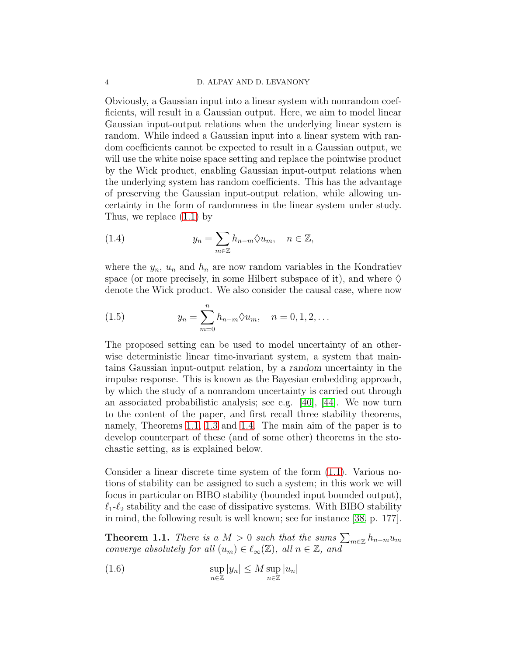Obviously, a Gaussian input into a linear system with nonrandom coefficients, will result in a Gaussian output. Here, we aim to model linear Gaussian input-output relations when the underlying linear system is random. While indeed a Gaussian input into a linear system with random coefficients cannot be expected to result in a Gaussian output, we will use the white noise space setting and replace the pointwise product by the Wick product, enabling Gaussian input-output relations when the underlying system has random coefficients. This has the advantage of preserving the Gaussian input-output relation, while allowing uncertainty in the form of randomness in the linear system under study. Thus, we replace [\(1.1\)](#page-3-0) by

<span id="page-5-1"></span>(1.4) 
$$
y_n = \sum_{m \in \mathbb{Z}} h_{n-m} \Diamond u_m, \quad n \in \mathbb{Z},
$$

where the  $y_n$ ,  $u_n$  and  $h_n$  are now random variables in the Kondratiev space (or more precisely, in some Hilbert subspace of it), and where  $\diamondsuit$ denote the Wick product. We also consider the causal case, where now

<span id="page-5-2"></span>(1.5) 
$$
y_n = \sum_{m=0}^n h_{n-m} \lozenge u_m, \quad n = 0, 1, 2, ...
$$

The proposed setting can be used to model uncertainty of an otherwise deterministic linear time-invariant system, a system that maintains Gaussian input-output relation, by a random uncertainty in the impulse response. This is known as the Bayesian embedding approach, by which the study of a nonrandom uncertainty is carried out through an associated probabilistic analysis; see e.g. [\[40\]](#page-36-12), [\[44\]](#page-37-4). We now turn to the content of the paper, and first recall three stability theorems, namely, Theorems [1.1,](#page-5-0) [1.3](#page-7-0) and [1.4.](#page-7-1) The main aim of the paper is to develop counterpart of these (and of some other) theorems in the stochastic setting, as is explained below.

Consider a linear discrete time system of the form [\(1.1\)](#page-3-0). Various notions of stability can be assigned to such a system; in this work we will focus in particular on BIBO stability (bounded input bounded output),  $\ell_1-\ell_2$  stability and the case of dissipative systems. With BIBO stability in mind, the following result is well known; see for instance [\[38,](#page-36-1) p. 177].

<span id="page-5-0"></span>**Theorem 1.1.** *There is a*  $M > 0$  *such that the sums*  $\sum_{m \in \mathbb{Z}} h_{n-m} u_m$ *converge absolutely for all*  $(u_m) \in \ell_\infty(\mathbb{Z})$ *, all*  $n \in \mathbb{Z}$ *, and* 

(1.6) 
$$
\sup_{n\in\mathbb{Z}}|y_n|\leq M\sup_{n\in\mathbb{Z}}|u_n|
$$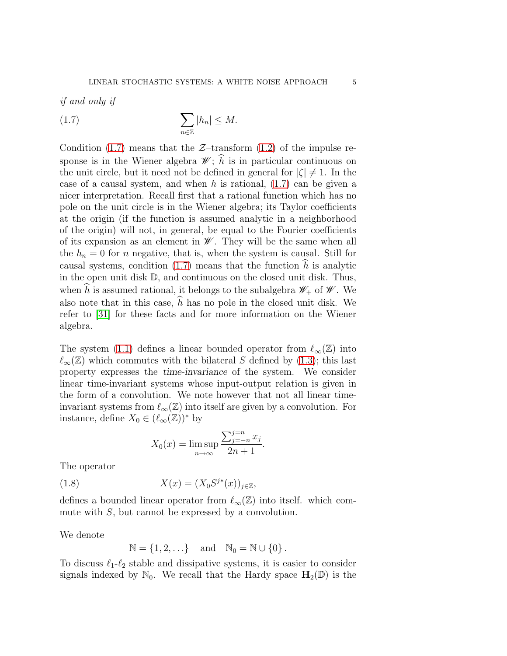*if and only if*

<span id="page-6-0"></span>
$$
(1.7) \qquad \qquad \sum_{n\in\mathbb{Z}}|h_n|\leq M.
$$

Condition [\(1.7\)](#page-6-0) means that the  $\mathcal{Z}-transform$  [\(1.2\)](#page-3-1) of the impulse response is in the Wiener algebra  $\mathscr{W}$ ;  $\widehat{h}$  is in particular continuous on the unit circle, but it need not be defined in general for  $|\zeta| \neq 1$ . In the case of a causal system, and when h is rational,  $(1.7)$  can be given a nicer interpretation. Recall first that a rational function which has no pole on the unit circle is in the Wiener algebra; its Taylor coefficients at the origin (if the function is assumed analytic in a neighborhood of the origin) will not, in general, be equal to the Fourier coefficients of its expansion as an element in  $\mathscr W$ . They will be the same when all the  $h_n = 0$  for n negative, that is, when the system is causal. Still for causal systems, condition [\(1.7\)](#page-6-0) means that the function  $\hat{h}$  is analytic in the open unit disk D, and continuous on the closed unit disk. Thus, when h is assumed rational, it belongs to the subalgebra  $\mathscr{W}_+$  of  $\mathscr{W}$ . We also note that in this case,  $\hat{h}$  has no pole in the closed unit disk. We refer to [\[31\]](#page-36-13) for these facts and for more information on the Wiener algebra.

The system [\(1.1\)](#page-3-0) defines a linear bounded operator from  $\ell_{\infty}(\mathbb{Z})$  into  $\ell_{\infty}(\mathbb{Z})$  which commutes with the bilateral S defined by [\(1.3\)](#page-3-2); this last property expresses the time-invariance of the system. We consider linear time-invariant systems whose input-output relation is given in the form of a convolution. We note however that not all linear timeinvariant systems from  $\ell_{\infty}(\mathbb{Z})$  into itself are given by a convolution. For instance, define  $X_0 \in (\ell_{\infty}(\mathbb{Z}))^*$  by

$$
X_0(x) = \limsup_{n \to \infty} \frac{\sum_{j=-n}^{j=n} x_j}{2n+1}.
$$

The operator

(1.8) 
$$
X(x) = (X_0 S^{j*}(x))_{j \in \mathbb{Z}},
$$

defines a bounded linear operator from  $\ell_{\infty}(\mathbb{Z})$  into itself. which commute with S, but cannot be expressed by a convolution.

We denote

$$
\mathbb{N}=\left\{1,2,\ldots\right\}\quad\text{and}\quad\mathbb{N}_0=\mathbb{N}\cup\left\{0\right\}.
$$

To discuss  $\ell_1-\ell_2$  stable and dissipative systems, it is easier to consider signals indexed by  $\mathbb{N}_0$ . We recall that the Hardy space  $\mathbf{H}_2(\mathbb{D})$  is the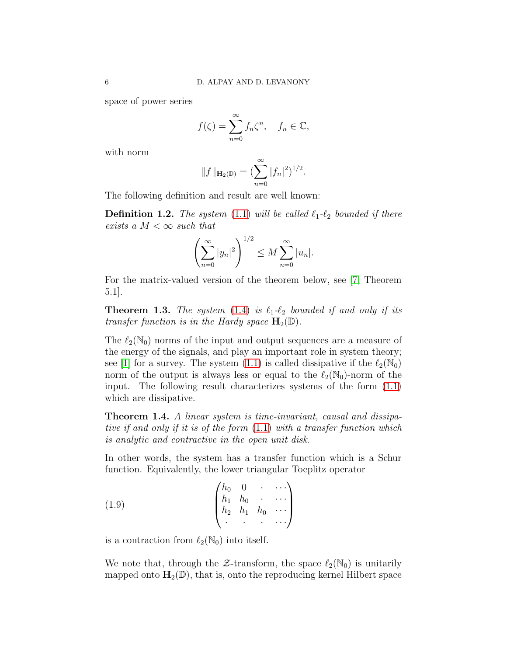space of power series

$$
f(\zeta) = \sum_{n=0}^{\infty} f_n \zeta^n, \quad f_n \in \mathbb{C},
$$

with norm

$$
||f||_{\mathbf{H}_2(\mathbb{D})} = (\sum_{n=0}^{\infty} |f_n|^2)^{1/2}.
$$

The following definition and result are well known:

**Definition 1.2.** *The system* [\(1.1\)](#page-3-0) *will be called*  $\ell_1$ *-* $\ell_2$  *bounded if there exists a*  $M < \infty$  *such that* 

$$
\left(\sum_{n=0}^{\infty} |y_n|^2\right)^{1/2} \le M \sum_{n=0}^{\infty} |u_n|.
$$

<span id="page-7-0"></span>For the matrix-valued version of the theorem below, see [\[7,](#page-35-8) Theorem 5.1].

**Theorem 1.3.** *The system* [\(1.4\)](#page-5-1) *is*  $\ell_1$ - $\ell_2$  *bounded if and only if its transfer function is in the Hardy space*  $\mathbf{H}_2(\mathbb{D})$ .

The  $\ell_2(\mathbb{N}_0)$  norms of the input and output sequences are a measure of the energy of the signals, and play an important role in system theory; see [\[1\]](#page-34-1) for a survey. The system [\(1.1\)](#page-3-0) is called dissipative if the  $\ell_2(\mathbb{N}_0)$ norm of the output is always less or equal to the  $\ell_2(\mathbb{N}_0)$ -norm of the input. The following result characterizes systems of the form [\(1.1\)](#page-3-0) which are dissipative.

<span id="page-7-1"></span>Theorem 1.4. *A linear system is time-invariant, causal and dissipative if and only if it is of the form* [\(1.1\)](#page-3-0) *with a transfer function which is analytic and contractive in the open unit disk.*

In other words, the system has a transfer function which is a Schur function. Equivalently, the lower triangular Toeplitz operator

(1.9) 
$$
\begin{pmatrix} h_0 & 0 & \cdots \\ h_1 & h_0 & \cdots \\ h_2 & h_1 & h_0 & \cdots \\ \vdots & \vdots & \vdots & \ddots \end{pmatrix}
$$

is a contraction from  $\ell_2(\mathbb{N}_0)$  into itself.

We note that, through the  $\mathcal{Z}$ -transform, the space  $\ell_2(\mathbb{N}_0)$  is unitarily mapped onto  $\mathbf{H}_2(\mathbb{D})$ , that is, onto the reproducing kernel Hilbert space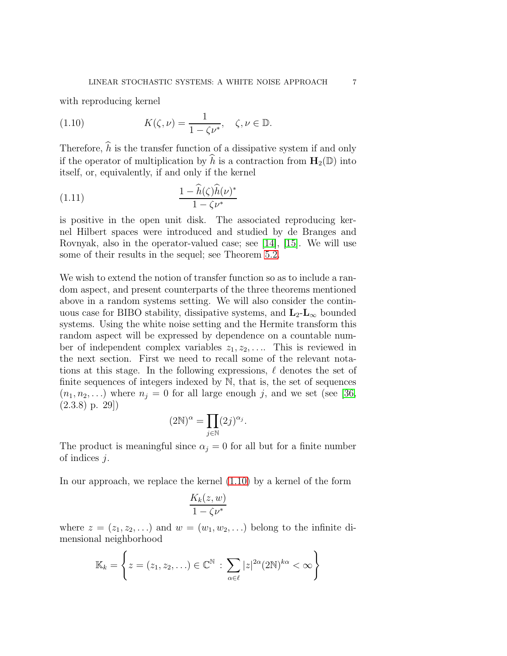with reproducing kernel

<span id="page-8-0"></span>(1.10) 
$$
K(\zeta,\nu)=\frac{1}{1-\zeta\nu^*}, \quad \zeta,\nu\in\mathbb{D}.
$$

Therefore,  $\hat{h}$  is the transfer function of a dissipative system if and only if the operator of multiplication by  $\hat{h}$  is a contraction from  $\mathbf{H}_{2}(\mathbb{D})$  into itself, or, equivalently, if and only if the kernel

(1.11) 
$$
\frac{1 - \hat{h}(\zeta)\hat{h}(\nu)^*}{1 - \zeta \nu^*}
$$

is positive in the open unit disk. The associated reproducing kernel Hilbert spaces were introduced and studied by de Branges and Rovnyak, also in the operator-valued case; see [\[14\]](#page-35-9), [\[15\]](#page-35-10). We will use some of their results in the sequel; see Theorem [5.2.](#page-22-0)

We wish to extend the notion of transfer function so as to include a random aspect, and present counterparts of the three theorems mentioned above in a random systems setting. We will also consider the continuous case for BIBO stability, dissipative systems, and  $\mathbf{L}_2$ - $\mathbf{L}_{\infty}$  bounded systems. Using the white noise setting and the Hermite transform this random aspect will be expressed by dependence on a countable number of independent complex variables  $z_1, z_2, \ldots$ . This is reviewed in the next section. First we need to recall some of the relevant notations at this stage. In the following expressions,  $\ell$  denotes the set of finite sequences of integers indexed by  $\mathbb{N}$ , that is, the set of sequences  $(n_1, n_2, \ldots)$  where  $n_j = 0$  for all large enough j, and we set (see [\[36,](#page-36-8) (2.3.8) p. 29])

$$
(2\mathbb{N})^{\alpha} = \prod_{j \in \mathbb{N}} (2j)^{\alpha_j}.
$$

The product is meaningful since  $\alpha_j = 0$  for all but for a finite number of indices j.

In our approach, we replace the kernel [\(1.10\)](#page-8-0) by a kernel of the form

$$
\frac{K_k(z,w)}{1-\zeta\nu^*}
$$

where  $z = (z_1, z_2, \ldots)$  and  $w = (w_1, w_2, \ldots)$  belong to the infinite dimensional neighborhood

$$
\mathbb{K}_k = \left\{ z = (z_1, z_2, \ldots) \in \mathbb{C}^{\mathbb{N}} : \sum_{\alpha \in \ell} |z|^{2\alpha} (2\mathbb{N})^{k\alpha} < \infty \right\}
$$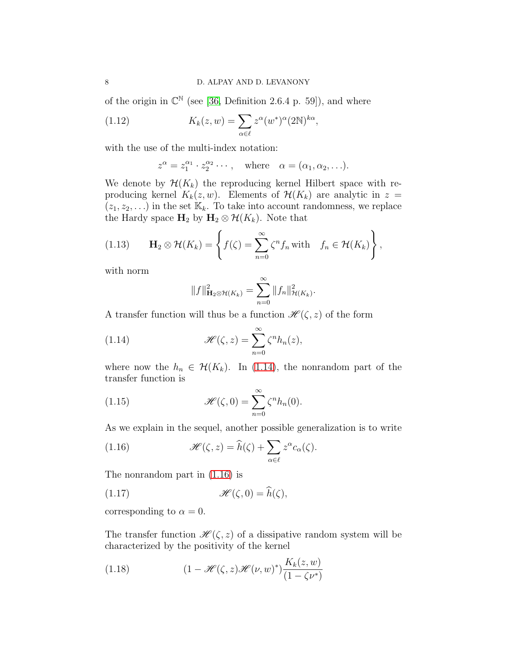of the origin in  $\mathbb{C}^{\mathbb{N}}$  (see [\[36,](#page-36-8) Definition 2.6.4 p. 59]), and where

(1.12) 
$$
K_k(z, w) = \sum_{\alpha \in \ell} z^{\alpha} (w^*)^{\alpha} (2\mathbb{N})^{k\alpha},
$$

with the use of the multi-index notation:

<span id="page-9-2"></span>
$$
z^{\alpha} = z_1^{\alpha_1} \cdot z_2^{\alpha_2} \cdots
$$
, where  $\alpha = (\alpha_1, \alpha_2, \ldots)$ .

We denote by  $\mathcal{H}(K_k)$  the reproducing kernel Hilbert space with reproducing kernel  $K_k(z, w)$ . Elements of  $\mathcal{H}(K_k)$  are analytic in  $z =$  $(z_1, z_2, \ldots)$  in the set  $\mathbb{K}_k$ . To take into account randomness, we replace the Hardy space  $H_2$  by  $H_2 \otimes \mathcal{H}(K_k)$ . Note that

<span id="page-9-3"></span>(1.13) 
$$
\mathbf{H}_2 \otimes \mathcal{H}(K_k) = \left\{ f(\zeta) = \sum_{n=0}^{\infty} \zeta^n f_n \text{ with } f_n \in \mathcal{H}(K_k) \right\},
$$

with norm

<span id="page-9-0"></span>
$$
||f||_{\mathbf{H}_2 \otimes \mathcal{H}(K_k)}^2 = \sum_{n=0}^{\infty} ||f_n||_{\mathcal{H}(K_k)}^2.
$$

A transfer function will thus be a function  $\mathscr{H}(\zeta, z)$  of the form

(1.14) 
$$
\mathscr{H}(\zeta,z) = \sum_{n=0}^{\infty} \zeta^n h_n(z),
$$

where now the  $h_n \in \mathcal{H}(K_k)$ . In [\(1.14\)](#page-9-0), the nonrandom part of the transfer function is

(1.15) 
$$
\mathscr{H}(\zeta,0) = \sum_{n=0}^{\infty} \zeta^n h_n(0).
$$

As we explain in the sequel, another possible generalization is to write

<span id="page-9-1"></span>(1.16) 
$$
\mathscr{H}(\zeta,z) = \widehat{h}(\zeta) + \sum_{\alpha \in \ell} z^{\alpha} c_{\alpha}(\zeta).
$$

The nonrandom part in [\(1.16\)](#page-9-1) is

(1.17) 
$$
\mathscr{H}(\zeta,0)=\widehat{h}(\zeta),
$$

corresponding to  $\alpha = 0$ .

The transfer function  $\mathscr{H}(\zeta, z)$  of a dissipative random system will be characterized by the positivity of the kernel

<span id="page-9-4"></span>(1.18) 
$$
(1 - \mathcal{H}(\zeta, z) \mathcal{H}(\nu, w)^*) \frac{K_k(z, w)}{(1 - \zeta \nu^*)}
$$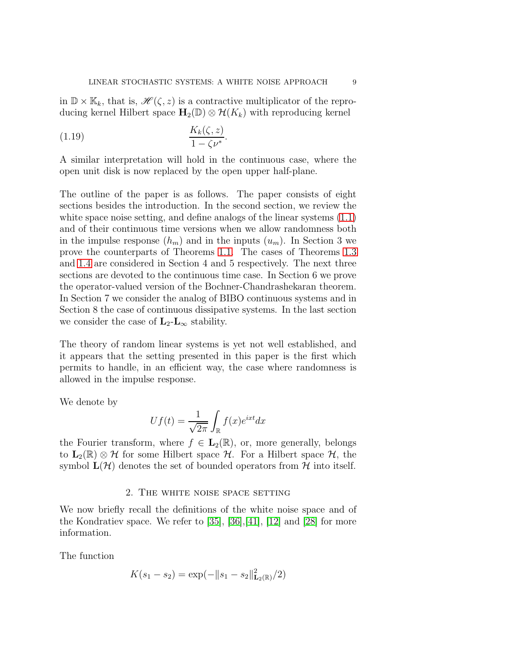in  $\mathbb{D} \times \mathbb{K}_k$ , that is,  $\mathscr{H}(\zeta, z)$  is a contractive multiplicator of the reproducing kernel Hilbert space  $\mathbf{H}_2(\mathbb{D}) \otimes \mathcal{H}(K_k)$  with reproducing kernel

$$
(1.19) \qquad \qquad \frac{K_k(\zeta, z)}{1 - \zeta \nu^*}.
$$

A similar interpretation will hold in the continuous case, where the open unit disk is now replaced by the open upper half-plane.

The outline of the paper is as follows. The paper consists of eight sections besides the introduction. In the second section, we review the white space noise setting, and define analogs of the linear systems  $(1.1)$ and of their continuous time versions when we allow randomness both in the impulse response  $(h_m)$  and in the inputs  $(u_m)$ . In Section 3 we prove the counterparts of Theorems [1.1.](#page-5-0) The cases of Theorems [1.3](#page-7-0) and [1.4](#page-7-1) are considered in Section 4 and 5 respectively. The next three sections are devoted to the continuous time case. In Section 6 we prove the operator-valued version of the Bochner-Chandrashekaran theorem. In Section 7 we consider the analog of BIBO continuous systems and in Section 8 the case of continuous dissipative systems. In the last section we consider the case of  $\mathbf{L}_2\text{-}\mathbf{L}_{\infty}$  stability.

The theory of random linear systems is yet not well established, and it appears that the setting presented in this paper is the first which permits to handle, in an efficient way, the case where randomness is allowed in the impulse response.

We denote by

$$
Uf(t) = \frac{1}{\sqrt{2\pi}} \int_{\mathbb{R}} f(x)e^{ixt} dx
$$

the Fourier transform, where  $f \in L_2(\mathbb{R})$ , or, more generally, belongs to  $L_2(\mathbb{R}) \otimes \mathcal{H}$  for some Hilbert space  $\mathcal{H}$ . For a Hilbert space  $\mathcal{H}$ , the symbol  $\mathbf{L}(\mathcal{H})$  denotes the set of bounded operators from  $\mathcal{H}$  into itself.

#### 2. The white noise space setting

<span id="page-10-0"></span>We now briefly recall the definitions of the white noise space and of the Kondratiev space. We refer to [\[35\]](#page-36-7), [\[36\]](#page-36-8),[\[41\]](#page-37-3), [\[12\]](#page-35-11) and [\[28\]](#page-36-14) for more information.

The function

$$
K(s_1 - s_2) = \exp(-\|s_1 - s_2\|_{\mathbf{L}_2(\mathbb{R})}^2/2)
$$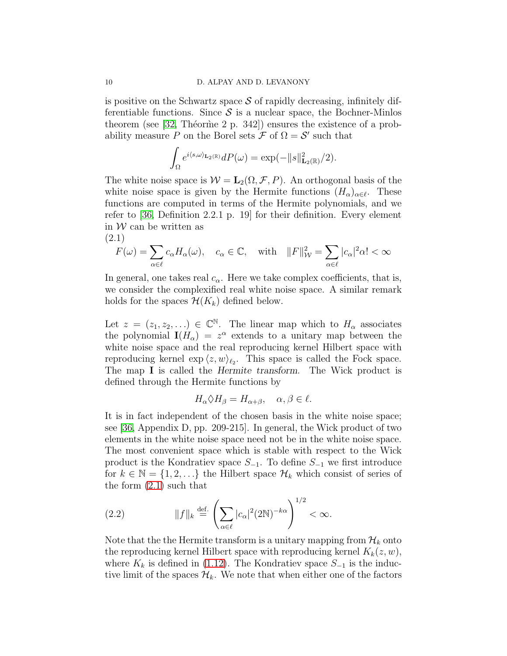is positive on the Schwartz space  $S$  of rapidly decreasing, infinitely differentiable functions. Since  $S$  is a nuclear space, the Bochner-Minlos theorem (see [\[32,](#page-36-15) Théorme 2 p. 342]) ensures the existence of a probability measure P on the Borel sets  $\mathcal F$  of  $\Omega = \mathcal S'$  such that

$$
\int_{\Omega} e^{i\langle s,\omega\rangle_{\mathbf{L}_2(\mathbb{R})}} dP(\omega) = \exp(-\|s\|_{\mathbf{L}_2(\mathbb{R})}^2/2).
$$

The white noise space is  $W = L_2(\Omega, \mathcal{F}, P)$ . An orthogonal basis of the white noise space is given by the Hermite functions  $(H_{\alpha})_{\alpha \in \ell}$ . These functions are computed in terms of the Hermite polynomials, and we refer to [\[36,](#page-36-8) Definition 2.2.1 p. 19] for their definition. Every element in  $W$  can be written as (2.1)

<span id="page-11-0"></span>
$$
F(\omega) = \sum_{\alpha \in \ell} c_{\alpha} H_{\alpha}(\omega), \quad c_{\alpha} \in \mathbb{C}, \quad \text{with} \quad ||F||_{\mathcal{W}}^2 = \sum_{\alpha \in \ell} |c_{\alpha}|^2 \alpha! < \infty
$$

In general, one takes real  $c_{\alpha}$ . Here we take complex coefficients, that is, we consider the complexified real white noise space. A similar remark holds for the spaces  $\mathcal{H}(K_k)$  defined below.

Let  $z = (z_1, z_2, ...) \in \mathbb{C}^{\mathbb{N}}$ . The linear map which to  $H_\alpha$  associates the polynomial  $\mathbf{I}(H_{\alpha}) = z^{\alpha}$  extends to a unitary map between the white noise space and the real reproducing kernel Hilbert space with reproducing kernel  $\exp(z, w)_{\ell_2}$ . This space is called the Fock space. The map I is called the Hermite transform. The Wick product is defined through the Hermite functions by

$$
H_{\alpha} \Diamond H_{\beta} = H_{\alpha + \beta}, \quad \alpha, \beta \in \ell.
$$

It is in fact independent of the chosen basis in the white noise space; see [\[36,](#page-36-8) Appendix D, pp. 209-215]. In general, the Wick product of two elements in the white noise space need not be in the white noise space. The most convenient space which is stable with respect to the Wick product is the Kondratiev space  $S_{-1}$ . To define  $S_{-1}$  we first introduce for  $k \in \mathbb{N} = \{1, 2, ...\}$  the Hilbert space  $\mathcal{H}_k$  which consist of series of the form [\(2.1\)](#page-11-0) such that

(2.2) 
$$
||f||_k \stackrel{\text{def.}}{=} \left(\sum_{\alpha \in \ell} |c_{\alpha}|^2 (2\mathbb{N})^{-k\alpha}\right)^{1/2} < \infty.
$$

Note that the the Hermite transform is a unitary mapping from  $\mathcal{H}_k$  onto the reproducing kernel Hilbert space with reproducing kernel  $K_k(z, w)$ , where  $K_k$  is defined in [\(1.12\)](#page-9-2). The Kondratiev space  $S_{-1}$  is the inductive limit of the spaces  $\mathcal{H}_k$ . We note that when either one of the factors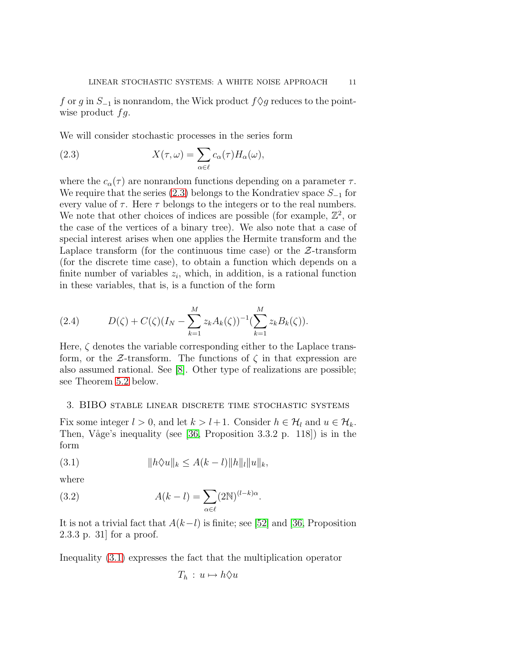f or g in  $S_{-1}$  is nonrandom, the Wick product  $f \Diamond g$  reduces to the pointwise product  $fg$ .

We will consider stochastic processes in the series form

<span id="page-12-1"></span>(2.3) 
$$
X(\tau,\omega) = \sum_{\alpha \in \ell} c_{\alpha}(\tau) H_{\alpha}(\omega),
$$

where the  $c_{\alpha}(\tau)$  are nonrandom functions depending on a parameter  $\tau$ . We require that the series [\(2.3\)](#page-12-1) belongs to the Kondratiev space  $S_{-1}$  for every value of  $\tau$ . Here  $\tau$  belongs to the integers or to the real numbers. We note that other choices of indices are possible (for example,  $\mathbb{Z}^2$ , or the case of the vertices of a binary tree). We also note that a case of special interest arises when one applies the Hermite transform and the Laplace transform (for the continuous time case) or the  $\mathcal{Z}\text{-transform}$ (for the discrete time case), to obtain a function which depends on a finite number of variables  $z_i$ , which, in addition, is a rational function in these variables, that is, is a function of the form

<span id="page-12-3"></span>(2.4) 
$$
D(\zeta) + C(\zeta)(I_N - \sum_{k=1}^M z_k A_k(\zeta))^{-1} (\sum_{k=1}^M z_k B_k(\zeta)).
$$

Here,  $\zeta$  denotes the variable corresponding either to the Laplace transform, or the  $\mathcal{Z}\text{-transform}$ . The functions of  $\zeta$  in that expression are also assumed rational. See [\[8\]](#page-35-12). Other type of realizations are possible; see Theorem [5.2](#page-22-0) below.

#### <span id="page-12-0"></span>3. BIBO stable linear discrete time stochastic systems

Fix some integer  $l > 0$ , and let  $k > l+1$ . Consider  $h \in \mathcal{H}_l$  and  $u \in \mathcal{H}_k$ . Then, Våge's inequality (see [\[36,](#page-36-8) Proposition 3.3.2 p. 118]) is in the form

<span id="page-12-2"></span>(3.1) 
$$
||h\Diamond u||_k \leq A(k-l)||h||_l||u||_k,
$$

where

(3.2) 
$$
A(k-l) = \sum_{\alpha \in \ell} (2N)^{(l-k)\alpha}.
$$

It is not a trivial fact that  $A(k-l)$  is finite; see [\[52\]](#page-37-5) and [\[36,](#page-36-8) Proposition 2.3.3 p. 31] for a proof.

Inequality [\(3.1\)](#page-12-2) expresses the fact that the multiplication operator

<span id="page-12-4"></span>
$$
T_h: u \mapsto h \Diamond u
$$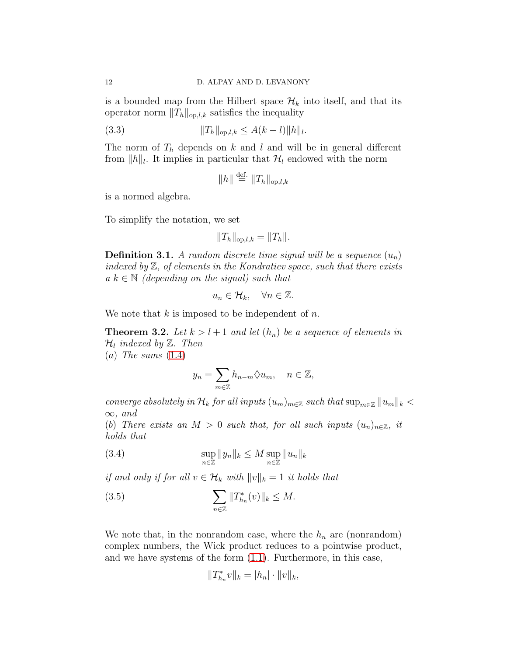is a bounded map from the Hilbert space  $\mathcal{H}_k$  into itself, and that its operator norm  $||T_h||_{op,l,k}$  satisfies the inequality

(3.3) 
$$
||T_h||_{\text{op},l,k} \leq A(k-l)||h||_l.
$$

The norm of  $T_h$  depends on k and l and will be in general different from  $||h||_l$ . It implies in particular that  $\mathcal{H}_l$  endowed with the norm

<span id="page-13-2"></span>
$$
||h|| \stackrel{\text{def.}}{=} ||T_h||_{\text{op},l,k}
$$

is a normed algebra.

To simplify the notation, we set

$$
||T_h||_{\text{op},l,k} = ||T_h||.
$$

**Definition 3.1.** A random discrete time signal will be a sequence  $(u_n)$ *indexed by* Z*, of elements in the Kondratiev space, such that there exists*  $a \, k \in \mathbb{N}$  *(depending on the signal) such that* 

$$
u_n \in \mathcal{H}_k, \quad \forall n \in \mathbb{Z}.
$$

We note that  $k$  is imposed to be independent of  $n$ .

**Theorem 3.2.** Let  $k > l + 1$  and let  $(h_n)$  be a sequence of elements in  $\mathcal{H}_l$  *indexed by*  $\mathbb{Z}$ *. Then* 

(a) *The sums* [\(1.4\)](#page-5-1)

<span id="page-13-1"></span>
$$
y_n = \sum_{m \in \mathbb{Z}} h_{n-m} \lozenge u_m, \quad n \in \mathbb{Z},
$$

*converge absolutely in*  $\mathcal{H}_k$  *for all inputs*  $(u_m)_{m \in \mathbb{Z}}$  *such that*  $\sup_{m \in \mathbb{Z}} ||u_m||_k$  < ∞*, and*

(b) *There exists an*  $M > 0$  *such that, for all such inputs*  $(u_n)_{n \in \mathbb{Z}}$ *, it holds that*

(3.4) 
$$
\sup_{n\in\mathbb{Z}} \|y_n\|_k \leq M \sup_{n\in\mathbb{Z}} \|u_n\|_k
$$

*if and only if for all*  $v \in \mathcal{H}_k$  *with*  $||v||_k = 1$  *it holds that* 

(3.5) 
$$
\sum_{n \in \mathbb{Z}} ||T_{h_n}^*(v)||_k \leq M.
$$

We note that, in the nonrandom case, where the  $h_n$  are (nonrandom) complex numbers, the Wick product reduces to a pointwise product, and we have systems of the form [\(1.1\)](#page-3-0). Furthermore, in this case,

<span id="page-13-0"></span>
$$
||T^*_{h_n}v||_k = |h_n| \cdot ||v||_k,
$$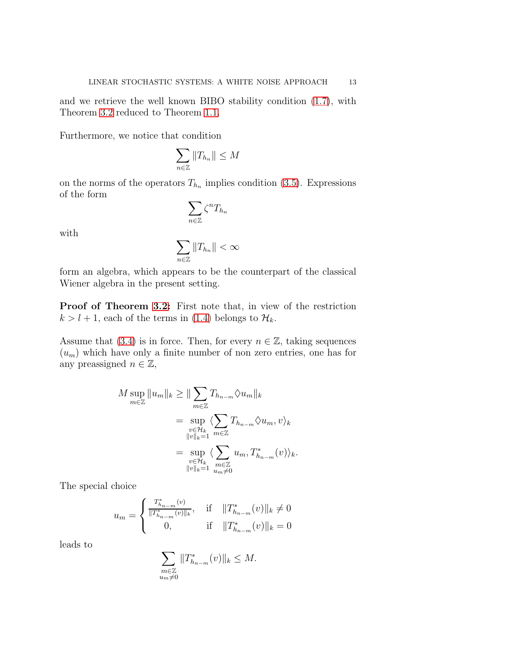and we retrieve the well known BIBO stability condition [\(1.7\)](#page-6-0), with Theorem [3.2](#page-13-0) reduced to Theorem [1.1.](#page-5-0)

Furthermore, we notice that condition

$$
\sum_{n\in\mathbb{Z}}\|T_{h_n}\|\leq M
$$

on the norms of the operators  $T_{h_n}$  implies condition [\(3.5\)](#page-13-0). Expressions of the form

$$
\sum_{n\in\mathbb{Z}}\zeta^nT_{h_n}
$$

with

$$
\sum_{n\in\mathbb{Z}}\|T_{h_n}\|<\infty
$$

form an algebra, which appears to be the counterpart of the classical Wiener algebra in the present setting.

Proof of Theorem [3.2:](#page-13-0) First note that, in view of the restriction  $k > l + 1$ , each of the terms in [\(1.4\)](#page-5-1) belongs to  $\mathcal{H}_k$ .

Assume that [\(3.4\)](#page-13-1) is in force. Then, for every  $n \in \mathbb{Z}$ , taking sequences  $(u_m)$  which have only a finite number of non zero entries, one has for any preassigned  $n \in \mathbb{Z}$ ,

$$
M \sup_{m \in \mathbb{Z}} \|u_m\|_k \ge \| \sum_{m \in \mathbb{Z}} T_{h_{n-m}} \lozenge u_m \|_k
$$
  
= 
$$
\sup_{\substack{v \in \mathcal{H}_k \\ \|v\|_k = 1}} \langle \sum_{m \in \mathbb{Z}} T_{h_{n-m}} \lozenge u_m, v \rangle_k
$$
  
= 
$$
\sup_{\substack{v \in \mathcal{H}_k \\ \|v\|_k = 1}} \langle \sum_{\substack{m \in \mathbb{Z} \\ m \neq 0}} u_m, T_{h_{n-m}}^*(v) \rangle_k.
$$

The special choice

$$
u_m = \begin{cases} \frac{T^*_{h_n-m}(v)}{\|T^*_{h_n-m}(v)\|_k}, & \text{if} \quad \|T^*_{h_n-m}(v)\|_k \neq 0\\ 0, & \text{if} \quad \|T^*_{h_n-m}(v)\|_k = 0 \end{cases}
$$

leads to

$$
\sum_{\substack{m\in\mathbb{Z}\\u_m\neq 0}}\|T^*_{h_{n-m}}(v)\|_k\leq M.
$$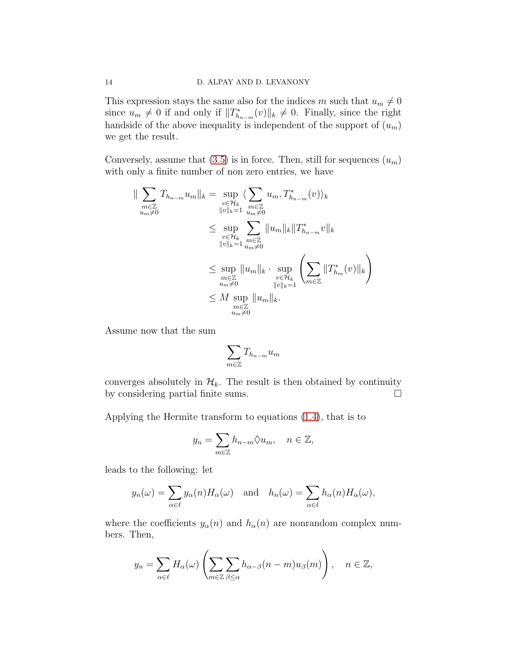This expression stays the same also for the indices m such that  $u_m \neq 0$ since  $u_m \neq 0$  if and only if  $||T^*_{h_{n-m}}(v)||_k \neq 0$ . Finally, since the right handside of the above inequality is independent of the support of  $(u_m)$ we get the result.

Conversely, assume that  $(3.5)$  is in force. Then, still for sequences  $(u_m)$ with only a finite number of non zero entries, we have

$$
\|\sum_{\substack{m\in\mathbb{Z} \\ u_m\neq 0}} T_{h_{n-m}} u_m\|_{k} = \sup_{\substack{v\in\mathcal{H}_k \\ \|v\|_{k}=1}} \langle \sum_{\substack{m\in\mathbb{Z} \\ u_m\neq 0}} u_m, T_{h_{n-m}}^*(v) \rangle_k
$$
  

$$
\leq \sup_{\substack{v\in\mathcal{H}_k \\ \|v\|_{k}=1}} \sum_{\substack{m\in\mathbb{Z} \\ u_m\neq 0}} \|u_m\|_{k} \|T_{h_{n-m}}^* v\|_{k}
$$
  

$$
\leq \sup_{\substack{m\in\mathbb{Z} \\ u_m\neq 0}} \|u_m\|_{k} \cdot \sup_{\substack{v\in\mathcal{H}_k \\ \|v\|_{k}=1}} \left(\sum_{m\in\mathbb{Z}} \|T_{h_m}^*(v)\|_{k}\right)
$$
  

$$
\leq M \sup_{\substack{m\in\mathbb{Z} \\ u_m\neq 0}} \|u_m\|_{k}.
$$

Assume now that the sum

$$
\sum_{m\in\mathbb{Z}}T_{h_{n-m}}u_m
$$

converges absolutely in  $\mathcal{H}_k$ . The result is then obtained by continuity by considering partial finite sums. by considering partial finite sums.

Applying the Hermite transform to equations [\(1.4\)](#page-5-1), that is to

$$
y_n = \sum_{m \in \mathbb{Z}} h_{n-m} \Diamond u_m, \quad n \in \mathbb{Z},
$$

leads to the following: let

$$
y_n(\omega) = \sum_{\alpha \in \ell} y_\alpha(n) H_\alpha(\omega)
$$
 and  $h_n(\omega) = \sum_{\alpha \in \ell} h_\alpha(n) H_\alpha(\omega)$ ,

where the coefficients  $y_\alpha(n)$  and  $h_\alpha(n)$  are nonrandom complex numbers. Then,

$$
y_n = \sum_{\alpha \in \ell} H_{\alpha}(\omega) \left( \sum_{m \in \mathbb{Z}} \sum_{\beta \le \alpha} h_{\alpha-\beta}(n-m) u_{\beta}(m) \right), \quad n \in \mathbb{Z},
$$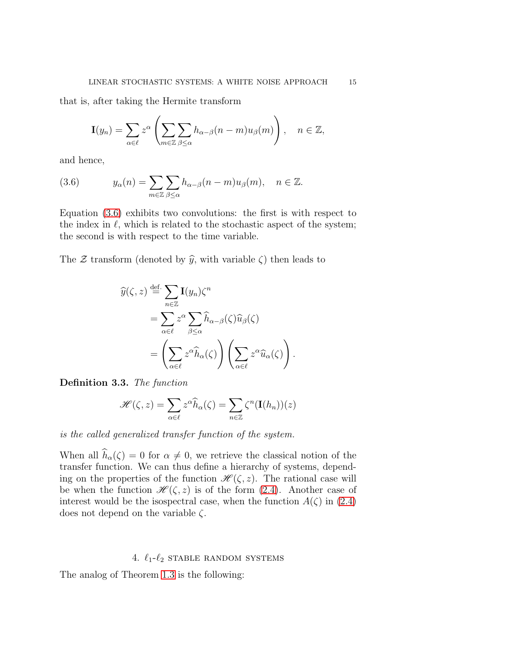that is, after taking the Hermite transform

$$
\mathbf{I}(y_n) = \sum_{\alpha \in \ell} z^{\alpha} \left( \sum_{m \in \mathbb{Z}} \sum_{\beta \le \alpha} h_{\alpha-\beta}(n-m) u_{\beta}(m) \right), \quad n \in \mathbb{Z},
$$

and hence,

<span id="page-16-1"></span>(3.6) 
$$
y_{\alpha}(n) = \sum_{m \in \mathbb{Z}} \sum_{\beta \leq \alpha} h_{\alpha-\beta}(n-m)u_{\beta}(m), \quad n \in \mathbb{Z}.
$$

Equation [\(3.6\)](#page-16-1) exhibits two convolutions: the first is with respect to the index in  $\ell$ , which is related to the stochastic aspect of the system; the second is with respect to the time variable.

The  $\mathcal Z$  transform (denoted by  $\widehat{y}$ , with variable  $\zeta$ ) then leads to

$$
\widehat{y}(\zeta, z) \stackrel{\text{def.}}{=} \sum_{n \in \mathbb{Z}} \mathbf{I}(y_n) \zeta^n
$$
  
\n
$$
= \sum_{\alpha \in \ell} z^{\alpha} \sum_{\beta \le \alpha} \widehat{h}_{\alpha-\beta}(\zeta) \widehat{u}_{\beta}(\zeta)
$$
  
\n
$$
= \left( \sum_{\alpha \in \ell} z^{\alpha} \widehat{h}_{\alpha}(\zeta) \right) \left( \sum_{\alpha \in \ell} z^{\alpha} \widehat{u}_{\alpha}(\zeta) \right).
$$

Definition 3.3. *The function*

$$
\mathscr{H}(\zeta,z) = \sum_{\alpha \in \ell} z^{\alpha} \widehat{h}_{\alpha}(\zeta) = \sum_{n \in \mathbb{Z}} \zeta^{n} (\mathbf{I}(h_{n}))(z)
$$

*is the called generalized transfer function of the system.*

When all  $\widehat{h}_{\alpha}(\zeta) = 0$  for  $\alpha \neq 0$ , we retrieve the classical notion of the transfer function. We can thus define a hierarchy of systems, depending on the properties of the function  $\mathscr{H}(\zeta, z)$ . The rational case will be when the function  $\mathscr{H}(\zeta, z)$  is of the form [\(2.4\)](#page-12-3). Another case of interest would be the isospectral case, when the function  $A(\zeta)$  in [\(2.4\)](#page-12-3) does not depend on the variable  $\zeta$ .

#### 4.  $\ell_1$ - $\ell_2$  stable random systems

<span id="page-16-0"></span>The analog of Theorem [1.3](#page-7-0) is the following: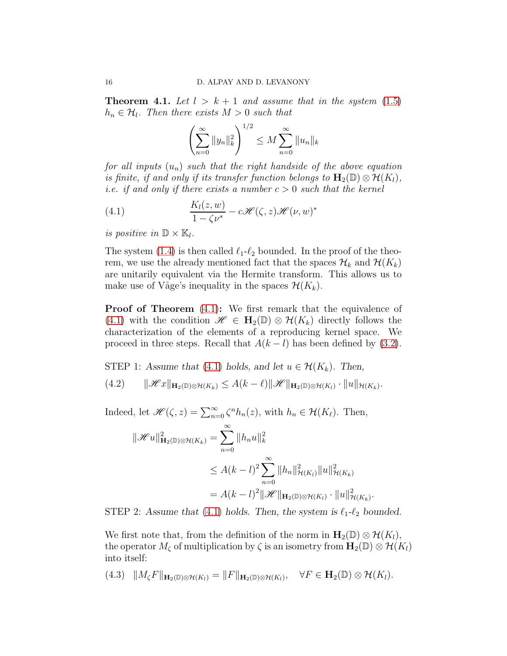**Theorem 4.1.** Let  $l > k+1$  and assume that in the system  $(1.5)$  $h_n \in \mathcal{H}_l$ . Then there exists  $M > 0$  such that

<span id="page-17-0"></span>
$$
\left(\sum_{n=0}^{\infty} \|y_n\|_{k}^2\right)^{1/2} \le M \sum_{n=0}^{\infty} \|u_n\|_{k}
$$

*for all inputs* (un) *such that the right handside of the above equation is finite, if and only if its transfer function belongs to*  $\mathbf{H}_2(\mathbb{D}) \otimes \mathcal{H}(K_l)$ , *i.e. if and only if there exists a number*  $c > 0$  *such that the kernel* 

(4.1) 
$$
\frac{K_l(z,w)}{1-\zeta\nu^*} - c\mathscr{H}(\zeta,z)\mathscr{H}(\nu,w)^*
$$

*is positive in*  $\mathbb{D} \times \mathbb{K}_l$ .

The system [\(1.4\)](#page-5-1) is then called  $\ell_1-\ell_2$  bounded. In the proof of the theorem, we use the already mentioned fact that the spaces  $\mathcal{H}_k$  and  $\mathcal{H}(K_k)$ are unitarily equivalent via the Hermite transform. This allows us to make use of Våge's inequality in the spaces  $\mathcal{H}(K_k)$ .

**Proof of Theorem** [\(4.1\)](#page-17-0): We first remark that the equivalence of [\(4.1\)](#page-17-0) with the condition  $\mathscr{H} \in \mathbf{H}_{2}(\mathbb{D}) \otimes \mathcal{H}(K_{k})$  directly follows the characterization of the elements of a reproducing kernel space. We proceed in three steps. Recall that  $A(k-l)$  has been defined by [\(3.2\)](#page-12-4).

STEP 1: Assume that [\(4.1\)](#page-17-0) holds, and let  $u \in \mathcal{H}(K_k)$ . Then,

<span id="page-17-1"></span>(4.2)  $\|\mathcal{H}x\|_{\mathbf{H}_2(\mathbb{D})\otimes\mathcal{H}(K_k)} \leq A(k-\ell)\|\mathcal{H}\|_{\mathbf{H}_2(\mathbb{D})\otimes\mathcal{H}(K_l)}\cdot\|u\|_{\mathcal{H}(K_k)}$ .

Indeed, let  $\mathscr{H}(\zeta, z) = \sum_{n=0}^{\infty} \zeta^n h_n(z)$ , with  $h_n \in \mathcal{H}(K_\ell)$ . Then,

$$
\|\mathcal{H}u\|_{\mathbf{H}_2(\mathbb{D})\otimes\mathcal{H}(K_k)}^2 = \sum_{n=0}^{\infty} \|h_n u\|_k^2
$$
  

$$
\leq A(k-l)^2 \sum_{n=0}^{\infty} \|h_n\|_{\mathcal{H}(K_l)}^2 \|u\|_{\mathcal{H}(K_k)}^2
$$
  

$$
= A(k-l)^2 \|\mathcal{H}\|_{\mathbf{H}_2(\mathbb{D})\otimes\mathcal{H}(K_l)} \cdot \|u\|_{\mathcal{H}(K_k)}^2.
$$

STEP 2: Assume that [\(4.1\)](#page-17-0) holds. Then, the system is  $\ell_1-\ell_2$  bounded.

We first note that, from the definition of the norm in  $\mathbf{H}_2(\mathbb{D}) \otimes \mathcal{H}(K_l)$ , the operator  $M_{\zeta}$  of multiplication by  $\zeta$  is an isometry from  $\mathbf{H}_2(\mathbb{D}) \otimes \mathcal{H}(K_l)$ into itself:

<span id="page-17-2"></span>(4.3)  $||M_{\zeta}F||_{\mathbf{H}_2(\mathbb{D})\otimes\mathcal{H}(K_l)} = ||F||_{\mathbf{H}_2(\mathbb{D})\otimes\mathcal{H}(K_l)}, \quad \forall F \in \mathbf{H}_2(\mathbb{D})\otimes\mathcal{H}(K_l).$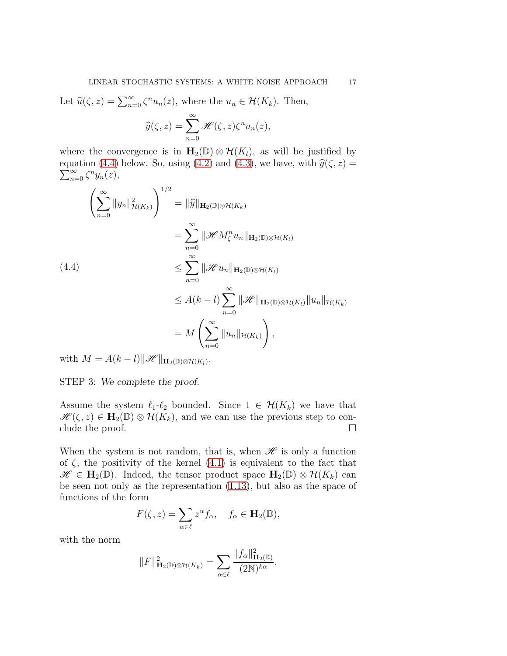Let  $\widehat{u}(\zeta, z) = \sum_{n=0}^{\infty} \zeta^n u_n(z)$ , where the  $u_n \in \mathcal{H}(K_k)$ . Then,

$$
\widehat{y}(\zeta, z) = \sum_{n=0}^{\infty} \mathcal{H}(\zeta, z) \zeta^n u_n(z),
$$

where the convergence is in  $\mathbf{H}_2(\mathbb{D}) \otimes \mathcal{H}(K_l)$ , as will be justified by equation [\(4.4\)](#page-18-0) below. So, using [\(4.2\)](#page-17-1) and [\(4.3\)](#page-17-2), we have, with  $\hat{y}(\zeta, z) = \sum_{\alpha}^{\infty} \hat{y}^{n}_{\alpha}(\zeta, z)$  $\sum_{n=0}^{\infty} \zeta^n y_n(z),$ 

<span id="page-18-0"></span>
$$
\left(\sum_{n=0}^{\infty} ||y_n||_{\mathcal{H}(K_k)}^2\right)^{1/2} = ||\widehat{y}||_{\mathbf{H}_2(\mathbb{D})\otimes\mathcal{H}(K_k)}\n= \sum_{n=0}^{\infty} ||\mathcal{H}M_{\zeta}^n u_n||_{\mathbf{H}_2(\mathbb{D})\otimes\mathcal{H}(K_l)}\n\leq \sum_{n=0}^{\infty} ||\mathcal{H}u_n||_{\mathbf{H}_2(\mathbb{D})\otimes\mathcal{H}(K_l)}\n\leq A(k-l) \sum_{n=0}^{\infty} ||\mathcal{H}||_{\mathbf{H}_2(\mathbb{D})\otimes\mathcal{H}(K_l)} ||u_n||_{\mathcal{H}(K_k)}\n= M \left(\sum_{n=0}^{\infty} ||u_n||_{\mathcal{H}(K_k)}\right),
$$

with  $M = A(k-l) \|\mathscr{H}\|_{\mathbf{H}_2(\mathbb{D}) \otimes \mathcal{H}(K_l)}$ .

STEP 3: We complete the proof.

Assume the system  $\ell_1-\ell_2$  bounded. Since  $1 \in \mathcal{H}(K_k)$  we have that  $\mathscr{H}(\zeta, z) \in \mathbf{H}_2(\mathbb{D}) \otimes \mathcal{H}(K_k)$ , and we can use the previous step to conclude the proof. clude the proof.

When the system is not random, that is, when  $\mathcal H$  is only a function of  $\zeta$ , the positivity of the kernel  $(4.1)$  is equivalent to the fact that  $\mathscr{H} \in \mathbf{H}_2(\mathbb{D})$ . Indeed, the tensor product space  $\mathbf{H}_2(\mathbb{D}) \otimes \mathcal{H}(K_k)$  can be seen not only as the representation [\(1.13\)](#page-9-3), but also as the space of functions of the form

$$
F(\zeta, z) = \sum_{\alpha \in \ell} z^{\alpha} f_{\alpha}, \quad f_{\alpha} \in \mathbf{H}_2(\mathbb{D}),
$$

with the norm

$$
||F||_{\mathbf{H}_2(\mathbb{D})\otimes\mathcal{H}(K_k)}^2 = \sum_{\alpha\in\ell} \frac{||f_\alpha||_{\mathbf{H}_2(\mathbb{D})}^2}{(2\mathbb{N})^{k\alpha}}.
$$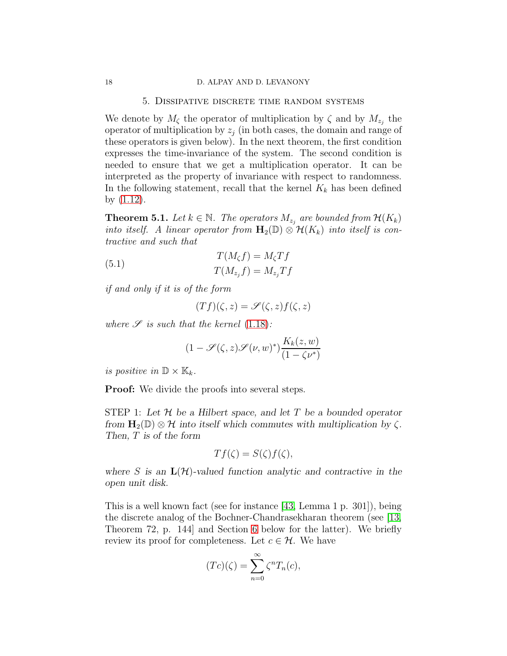#### 5. Dissipative discrete time random systems

<span id="page-19-0"></span>We denote by  $M_{\zeta}$  the operator of multiplication by  $\zeta$  and by  $M_{z_j}$  the operator of multiplication by  $z_i$  (in both cases, the domain and range of these operators is given below). In the next theorem, the first condition expresses the time-invariance of the system. The second condition is needed to ensure that we get a multiplication operator. It can be interpreted as the property of invariance with respect to randomness. In the following statement, recall that the kernel  $K_k$  has been defined by [\(1.12\)](#page-9-2).

**Theorem 5.1.** *Let*  $k \in \mathbb{N}$ . *The operators*  $M_{z_j}$  are bounded from  $\mathcal{H}(K_k)$ *into itself.* A linear operator from  $\mathbf{H}_2(\mathbb{D}) \otimes \mathcal{H}(K_k)$  *into itself is contractive and such that*

<span id="page-19-1"></span>(5.1) 
$$
T(M_{\zeta}f) = M_{\zeta}Tf
$$

$$
T(M_{z_j}f) = M_{z_j}Tf
$$

*if and only if it is of the form*

$$
(Tf)(\zeta, z) = \mathscr{S}(\zeta, z)f(\zeta, z)
$$

where  $\mathscr S$  *is such that the kernel* [\(1.18\)](#page-9-4):

$$
(1 - \mathcal{S}(\zeta, z)\mathcal{S}(\nu, w)^*)\frac{K_k(z, w)}{(1 - \zeta \nu^*)}
$$

*is positive in*  $\mathbb{D} \times \mathbb{K}_k$ .

**Proof:** We divide the proofs into several steps.

STEP 1: Let  $\mathcal H$  be a Hilbert space, and let T be a bounded operator from  $H_2(\mathbb{D}) \otimes \mathcal{H}$  into itself which commutes with multiplication by  $\zeta$ . Then, T is of the form

$$
Tf(\zeta) = S(\zeta)f(\zeta),
$$

where S is an  $\mathbf{L}(\mathcal{H})$ -valued function analytic and contractive in the open unit disk.

This is a well known fact (see for instance [\[43,](#page-37-6) Lemma 1 p. 301]), being the discrete analog of the Bochner-Chandrasekharan theorem (see [\[13,](#page-35-13) Theorem 72, p. 144] and Section [6](#page-24-0) below for the latter). We briefly review its proof for completeness. Let  $c \in \mathcal{H}$ . We have

$$
(Tc)(\zeta) = \sum_{n=0}^{\infty} \zeta^n T_n(c),
$$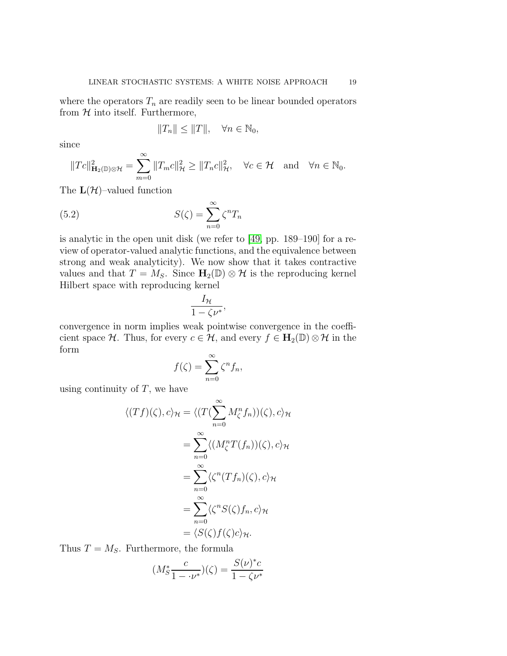where the operators  $T_n$  are readily seen to be linear bounded operators from  $H$  into itself. Furthermore,

<span id="page-20-0"></span>
$$
||T_n|| \le ||T||, \quad \forall n \in \mathbb{N}_0,
$$

since

$$
||Tc||^2_{\mathbf{H}_2(\mathbb{D})\otimes\mathcal{H}} = \sum_{m=0}^{\infty} ||T_m c||^2_{\mathcal{H}} \ge ||T_n c||^2_{\mathcal{H}}, \quad \forall c \in \mathcal{H} \text{ and } \forall n \in \mathbb{N}_0.
$$

The  $\mathbf{L}(\mathcal{H})$ -valued function

(5.2) 
$$
S(\zeta) = \sum_{n=0}^{\infty} \zeta^n T_n
$$

is analytic in the open unit disk (we refer to [\[49,](#page-37-7) pp. 189–190] for a review of operator-valued analytic functions, and the equivalence between strong and weak analyticity). We now show that it takes contractive values and that  $T = M_S$ . Since  $H_2(\mathbb{D}) \otimes \mathcal{H}$  is the reproducing kernel Hilbert space with reproducing kernel

$$
\frac{I_{\mathcal{H}}}{1-\zeta\nu^*},
$$

convergence in norm implies weak pointwise convergence in the coefficient space H. Thus, for every  $c \in \mathcal{H}$ , and every  $f \in H_2(\mathbb{D}) \otimes \mathcal{H}$  in the form

$$
f(\zeta) = \sum_{n=0}^{\infty} \zeta^n f_n,
$$

using continuity of  $T$ , we have

$$
\langle (Tf)(\zeta), c \rangle_{\mathcal{H}} = \langle (T(\sum_{n=0}^{\infty} M_{\zeta}^{n} f_{n}))(\zeta), c \rangle_{\mathcal{H}}
$$
  

$$
= \sum_{n=0}^{\infty} \langle (M_{\zeta}^{n} T(f_{n}))(\zeta), c \rangle_{\mathcal{H}}
$$
  

$$
= \sum_{n=0}^{\infty} \langle \zeta^{n} (T f_{n})(\zeta), c \rangle_{\mathcal{H}}
$$
  

$$
= \sum_{n=0}^{\infty} \langle \zeta^{n} S(\zeta) f_{n}, c \rangle_{\mathcal{H}}
$$
  

$$
= \langle S(\zeta) f(\zeta) c \rangle_{\mathcal{H}}.
$$

Thus  $T = M<sub>S</sub>$ . Furthermore, the formula

$$
(M_S^* \frac{c}{1 - \nu^*}) (\zeta) = \frac{S(\nu)^* c}{1 - \zeta \nu^*}
$$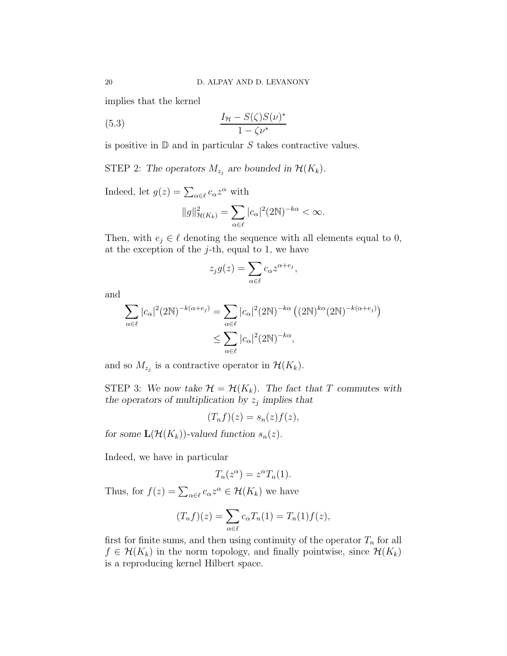implies that the kernel

(5.3) 
$$
\frac{I_{\mathcal{H}} - S(\zeta)S(\nu)^*}{1 - \zeta \nu^*}
$$

is positive in  $D$  and in particular S takes contractive values.

STEP 2: The operators  $M_{z_j}$  are bounded in  $\mathcal{H}(K_k)$ .

Indeed, let  $g(z) = \sum_{\alpha \in \ell} c_{\alpha} z^{\alpha}$  with

<span id="page-21-0"></span>
$$
||g||_{\mathcal{H}(K_k)}^2 = \sum_{\alpha \in \ell} |c_{\alpha}|^2 (2\mathbb{N})^{-k\alpha} < \infty.
$$

Then, with  $e_j \in \ell$  denoting the sequence with all elements equal to 0, at the exception of the  $j$ -th, equal to 1, we have

$$
z_j g(z) = \sum_{\alpha \in \ell} c_{\alpha} z^{\alpha + e_j},
$$

and

$$
\sum_{\alpha \in \ell} |c_{\alpha}|^2 (2N)^{-k(\alpha + e_j)} = \sum_{\alpha \in \ell} |c_{\alpha}|^2 (2N)^{-k\alpha} ((2N)^{k\alpha} (2N)^{-k(\alpha + e_j)})
$$
  

$$
\leq \sum_{\alpha \in \ell} |c_{\alpha}|^2 (2N)^{-k\alpha},
$$

and so  $M_{z_j}$  is a contractive operator in  $\mathcal{H}(K_k)$ .

STEP 3: We now take  $\mathcal{H} = \mathcal{H}(K_k)$ . The fact that T commutes with the operators of multiplication by  $z_j$  implies that

$$
(T_n f)(z) = s_n(z) f(z),
$$

for some  $\mathbf{L}(\mathcal{H}(K_k))$ -valued function  $s_n(z)$ .

Indeed, we have in particular

$$
T_n(z^{\alpha}) = z^{\alpha} T_n(1).
$$

Thus, for  $f(z) = \sum_{\alpha \in \ell} c_{\alpha} z^{\alpha} \in \mathcal{H}(K_k)$  we have

$$
(T_n f)(z) = \sum_{\alpha \in \ell} c_{\alpha} T_n(1) = T_n(1) f(z),
$$

first for finite sums, and then using continuity of the operator  $T_n$  for all  $f \in \mathcal{H}(K_k)$  in the norm topology, and finally pointwise, since  $\mathcal{H}(K_k)$ is a reproducing kernel Hilbert space.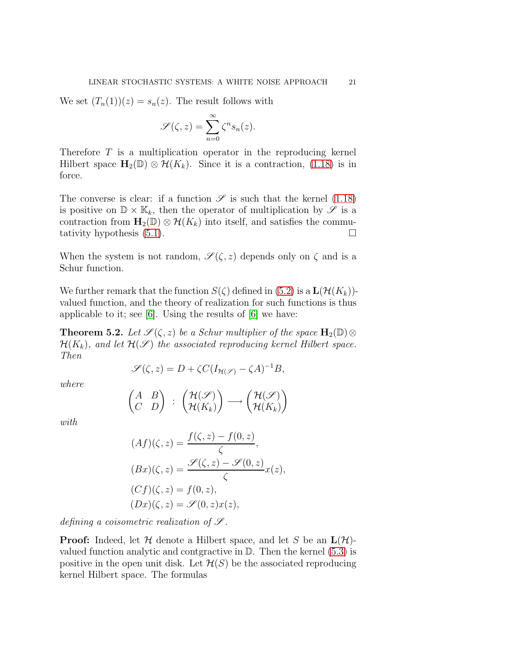We set  $(T_n(1))(z) = s_n(z)$ . The result follows with

$$
\mathscr{S}(\zeta,z) = \sum_{n=0}^{\infty} \zeta^n s_n(z).
$$

Therefore T is a multiplication operator in the reproducing kernel Hilbert space  $\mathbf{H}_2(\mathbb{D}) \otimes \mathcal{H}(K_k)$ . Since it is a contraction, [\(1.18\)](#page-9-4) is in force.

The converse is clear: if a function  $\mathscr S$  is such that the kernel [\(1.18\)](#page-9-4) is positive on  $\mathbb{D} \times \mathbb{K}_k$ , then the operator of multiplication by  $\mathscr{S}$  is a contraction from  $\mathbf{H}_2(\mathbb{D}) \otimes \mathcal{H}(K_k)$  into itself, and satisfies the commutativity hypothesis (5.1). tativity hypothesis [\(5.1\)](#page-19-1).

When the system is not random,  $\mathscr{S}(\zeta, z)$  depends only on  $\zeta$  and is a Schur function.

We further remark that the function  $S(\zeta)$  defined in [\(5.2\)](#page-20-0) is a  $\mathbf{L}(\mathcal{H}(K_k))$ valued function, and the theory of realization for such functions is thus applicable to it; see [\[6\]](#page-35-14). Using the results of [\[6\]](#page-35-14) we have:

<span id="page-22-0"></span>**Theorem 5.2.** *Let*  $\mathscr{S}(\zeta, z)$  *be a Schur multiplier of the space*  $\mathbf{H}_2(\mathbb{D}) \otimes$  $\mathcal{H}(K_k)$ , and let  $\mathcal{H}(\mathcal{S})$  the associated reproducing kernel Hilbert space. *Then*

$$
\mathscr{S}(\zeta,z) = D + \zeta C (I_{\mathcal{H}(\mathscr{S})} - \zeta A)^{-1} B,
$$

*where*

$$
\begin{pmatrix} A & B \\ C & D \end{pmatrix} : \begin{pmatrix} \mathcal{H}(\mathcal{S}) \\ \mathcal{H}(K_k) \end{pmatrix} \longrightarrow \begin{pmatrix} \mathcal{H}(\mathcal{S}) \\ \mathcal{H}(K_k) \end{pmatrix}
$$

*with*

$$
(Af)(\zeta, z) = \frac{f(\zeta, z) - f(0, z)}{\zeta},
$$
  
\n
$$
(Bx)(\zeta, z) = \frac{\mathscr{S}(\zeta, z) - \mathscr{S}(0, z)}{\zeta}x(z),
$$
  
\n
$$
(Cf)(\zeta, z) = f(0, z),
$$
  
\n
$$
(Dx)(\zeta, z) = \mathscr{S}(0, z)x(z),
$$

*defining a coisometric realization of*  $\mathcal{S}$ *.* 

**Proof:** Indeed, let  $H$  denote a Hilbert space, and let S be an  $\mathbf{L}(\mathcal{H})$ valued function analytic and contgractive in  $\mathbb{D}$ . Then the kernel [\(5.3\)](#page-21-0) is positive in the open unit disk. Let  $\mathcal{H}(S)$  be the associated reproducing kernel Hilbert space. The formulas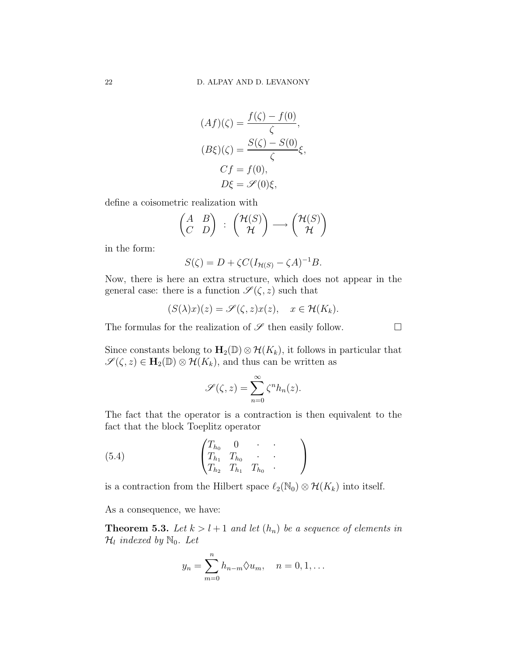$$
(Af)(\zeta) = \frac{f(\zeta) - f(0)}{\zeta},
$$

$$
(B\xi)(\zeta) = \frac{S(\zeta) - S(0)}{\zeta}\xi,
$$

$$
Cf = f(0),
$$

$$
D\xi = \mathscr{S}(0)\xi,
$$

define a coisometric realization with

$$
\begin{pmatrix} A & B \\ C & D \end{pmatrix} : \begin{pmatrix} \mathcal{H}(S) \\ \mathcal{H} \end{pmatrix} \longrightarrow \begin{pmatrix} \mathcal{H}(S) \\ \mathcal{H} \end{pmatrix}
$$

in the form:

$$
S(\zeta) = D + \zeta C (I_{\mathcal{H}(S)} - \zeta A)^{-1} B.
$$

Now, there is here an extra structure, which does not appear in the general case: there is a function  $\mathscr{S}(\zeta,z)$  such that

$$
(S(\lambda)x)(z) = \mathscr{S}(\zeta, z)x(z), \quad x \in \mathcal{H}(K_k).
$$

The formulas for the realization of  $\mathscr S$  then easily follow.  $\Box$ 

Since constants belong to  $\mathbf{H}_2(\mathbb{D}) \otimes \mathcal{H}(K_k)$ , it follows in particular that  $\mathscr{S}(\zeta, z) \in \mathbf{H}_2(\mathbb{D}) \otimes \mathcal{H}(K_k)$ , and thus can be written as

<span id="page-23-0"></span>
$$
\mathscr{S}(\zeta,z) = \sum_{n=0}^{\infty} \zeta^n h_n(z).
$$

The fact that the operator is a contraction is then equivalent to the fact that the block Toeplitz operator

(5.4) 
$$
\begin{pmatrix} T_{h_0} & 0 & \cdot & \cdot \\ T_{h_1} & T_{h_0} & \cdot & \cdot \\ T_{h_2} & T_{h_1} & T_{h_0} & \cdot \end{pmatrix}
$$

is a contraction from the Hilbert space  $\ell_2(\mathbb{N}_0) \otimes \mathcal{H}(K_k)$  into itself.

As a consequence, we have:

**Theorem 5.3.** Let  $k > l + 1$  and let  $(h_n)$  be a sequence of elements in  $\mathcal{H}_l$  indexed by  $\mathbb{N}_0$ . Let

$$
y_n = \sum_{m=0}^n h_{n-m} \Diamond u_m, \quad n = 0, 1, \dots
$$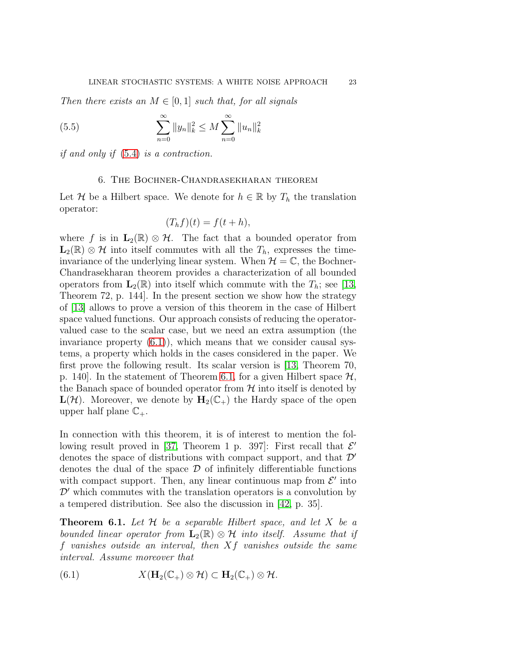*Then there exists an*  $M \in [0, 1]$  *such that, for all signals* 

(5.5) 
$$
\sum_{n=0}^{\infty} ||y_n||_k^2 \le M \sum_{n=0}^{\infty} ||u_n||_k^2
$$

<span id="page-24-0"></span>*if and only if* [\(5.4\)](#page-23-0) *is a contraction.*

#### 6. The Bochner-Chandrasekharan theorem

Let H be a Hilbert space. We denote for  $h \in \mathbb{R}$  by  $T_h$  the translation operator:

$$
(T_h f)(t) = f(t+h),
$$

where f is in  $\mathbf{L}_2(\mathbb{R}) \otimes \mathcal{H}$ . The fact that a bounded operator from  $\mathbf{L}_2(\mathbb{R}) \otimes \mathcal{H}$  into itself commutes with all the  $T_h$ , expresses the timeinvariance of the underlying linear system. When  $\mathcal{H} = \mathbb{C}$ , the Bochner-Chandrasekharan theorem provides a characterization of all bounded operators from  $\mathbf{L}_2(\mathbb{R})$  into itself which commute with the  $T_h$ ; see [\[13,](#page-35-13) Theorem 72, p. 144]. In the present section we show how the strategy of [\[13\]](#page-35-13) allows to prove a version of this theorem in the case of Hilbert space valued functions. Our approach consists of reducing the operatorvalued case to the scalar case, but we need an extra assumption (the invariance property  $(6.1)$ , which means that we consider causal systems, a property which holds in the cases considered in the paper. We first prove the following result. Its scalar version is [\[13,](#page-35-13) Theorem 70, p. 140. In the statement of Theorem [6.1,](#page-24-2) for a given Hilbert space  $\mathcal{H}$ , the Banach space of bounded operator from  $\mathcal H$  into itself is denoted by  $L(\mathcal{H})$ . Moreover, we denote by  $H_2(\mathbb{C}_+)$  the Hardy space of the open upper half plane  $\mathbb{C}_+$ .

In connection with this theorem, it is of interest to mention the fol-lowing result proved in [\[37,](#page-36-16) Theorem 1 p. 397]: First recall that  $\mathcal{E}'$ denotes the space of distributions with compact support, and that  $\mathcal{D}'$ denotes the dual of the space  $\mathcal D$  of infinitely differentiable functions with compact support. Then, any linear continuous map from  $\mathcal{E}'$  into  $\mathcal{D}'$  which commutes with the translation operators is a convolution by a tempered distribution. See also the discussion in [\[42,](#page-37-8) p. 35].

<span id="page-24-2"></span>Theorem 6.1. *Let* H *be a separable Hilbert space, and let* X *be a bounded linear operator from*  $\mathbf{L}_2(\mathbb{R}) \otimes \mathcal{H}$  *into itself. Assume that if* f *vanishes outside an interval, then* Xf *vanishes outside the same interval. Assume moreover that*

<span id="page-24-1"></span>(6.1) 
$$
X(\mathbf{H}_2(\mathbb{C}_+)\otimes \mathcal{H}) \subset \mathbf{H}_2(\mathbb{C}_+)\otimes \mathcal{H}.
$$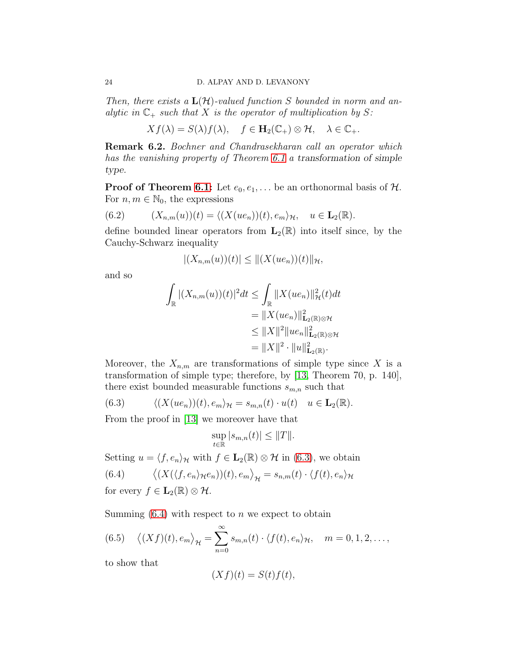*Then, there exists a* L(H)*-valued function* S *bounded in norm and analytic in*  $\mathbb{C}_+$  *such that* X *is the operator of multiplication by* S:

$$
Xf(\lambda) = S(\lambda)f(\lambda), \quad f \in \mathbf{H}_2(\mathbb{C}_+) \otimes \mathcal{H}, \quad \lambda \in \mathbb{C}_+.
$$

Remark 6.2. *Bochner and Chandrasekharan call an operator which has the vanishing property of Theorem [6.1](#page-24-2) a* transformation of simple type*.*

**Proof of Theorem [6.1:](#page-24-2)** Let  $e_0, e_1, \ldots$  be an orthonormal basis of  $\mathcal{H}$ . For  $n, m \in \mathbb{N}_0$ , the expressions

<span id="page-25-3"></span>(6.2) 
$$
(X_{n,m}(u))(t) = \langle (X(ue_n))(t), e_m \rangle_{\mathcal{H}}, \quad u \in \mathbf{L}_2(\mathbb{R}).
$$

define bounded linear operators from  $\mathbf{L}_2(\mathbb{R})$  into itself since, by the Cauchy-Schwarz inequality

$$
|(X_{n,m}(u))(t)| \leq ||(X(ue_n))(t)||_{\mathcal{H}},
$$

and so

$$
\int_{\mathbb{R}} |(X_{n,m}(u))(t)|^2 dt \leq \int_{\mathbb{R}} \|X(ue_n)\|_{\mathcal{H}}^2(t) dt
$$
  
\n
$$
= \|X(ue_n)\|_{\mathbf{L}_2(\mathbb{R}) \otimes \mathcal{H}}^2
$$
  
\n
$$
\leq \|X\|^2 \|ue_n\|_{\mathbf{L}_2(\mathbb{R}) \otimes \mathcal{H}}^2
$$
  
\n
$$
= \|X\|^2 \cdot \|u\|_{\mathbf{L}_2(\mathbb{R})}^2.
$$

Moreover, the  $X_{n,m}$  are transformations of simple type since X is a transformation of simple type; therefore, by [\[13,](#page-35-13) Theorem 70, p. 140], there exist bounded measurable functions  $s_{m,n}$  such that

<span id="page-25-0"></span>(6.3) 
$$
\langle (X(ue_n))(t), e_m \rangle_{\mathcal{H}} = s_{m,n}(t) \cdot u(t) \quad u \in \mathbf{L}_2(\mathbb{R}).
$$

From the proof in [\[13\]](#page-35-13) we moreover have that

$$
\sup_{t\in\mathbb{R}}|s_{m,n}(t)|\leq \|T\|.
$$

Setting  $u = \langle f, e_n \rangle_{\mathcal{H}}$  with  $f \in \mathbf{L}_2(\mathbb{R}) \otimes \mathcal{H}$  in [\(6.3\)](#page-25-0), we obtain

<span id="page-25-1"></span>(6.4) 
$$
\langle (X(\langle f, e_n \rangle_{\mathcal{H}} e_n))(t), e_m \rangle_{\mathcal{H}} = s_{n,m}(t) \cdot \langle f(t), e_n \rangle_{\mathcal{H}}
$$

for every 
$$
f \in L_2(\mathbb{R}) \otimes \mathcal{H}
$$
.

Summing  $(6.4)$  with respect to n we expect to obtain

<span id="page-25-2"></span>(6.5) 
$$
\langle (Xf)(t), e_m \rangle_{\mathcal{H}} = \sum_{n=0}^{\infty} s_{m,n}(t) \cdot \langle f(t), e_n \rangle_{\mathcal{H}}, \quad m = 0, 1, 2, \dots,
$$

to show that

$$
(Xf)(t) = S(t)f(t),
$$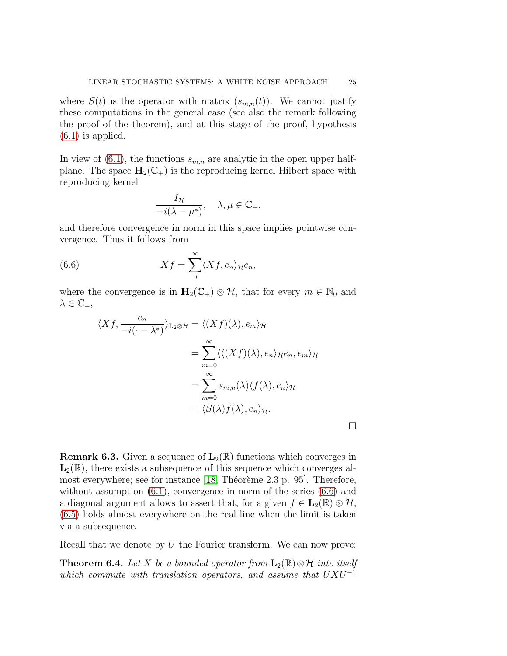where  $S(t)$  is the operator with matrix  $(s_{m,n}(t))$ . We cannot justify these computations in the general case (see also the remark following the proof of the theorem), and at this stage of the proof, hypothesis  $(6.1)$  is applied.

In view of [\(6.1\)](#page-24-1), the functions  $s_{m,n}$  are analytic in the open upper halfplane. The space  $H_2(\mathbb{C}_+)$  is the reproducing kernel Hilbert space with reproducing kernel

<span id="page-26-0"></span>
$$
\frac{I_{\mathcal{H}}}{-i(\lambda - \mu^*)}, \quad \lambda, \mu \in \mathbb{C}_+.
$$

and therefore convergence in norm in this space implies pointwise convergence. Thus it follows from

(6.6) 
$$
Xf = \sum_{0}^{\infty} \langle Xf, e_n \rangle_{\mathcal{H}} e_n,
$$

where the convergence is in  $H_2(\mathbb{C}_+) \otimes \mathcal{H}$ , that for every  $m \in \mathbb{N}_0$  and  $\lambda \in \mathbb{C}_{+},$ 

$$
\langle Xf, \frac{e_n}{-i(\cdot - \lambda^*)} \rangle_{\mathbf{L}_2 \otimes \mathcal{H}} = \langle (Xf)(\lambda), e_m \rangle_{\mathcal{H}}
$$
  
= 
$$
\sum_{m=0}^{\infty} \langle \langle (Xf)(\lambda), e_n \rangle_{\mathcal{H}} e_n, e_m \rangle_{\mathcal{H}}
$$
  
= 
$$
\sum_{m=0}^{\infty} s_{m,n}(\lambda) \langle f(\lambda), e_n \rangle_{\mathcal{H}}
$$
  
= 
$$
\langle S(\lambda)f(\lambda), e_n \rangle_{\mathcal{H}}.
$$

**Remark 6.3.** Given a sequence of  $\mathbf{L}_2(\mathbb{R})$  functions which converges in  $L_2(\mathbb{R})$ , there exists a subsequence of this sequence which converges almost everywhere; see for instance  $[18,$  Théorème 2.3 p. 95]. Therefore, without assumption  $(6.1)$ , convergence in norm of the series  $(6.6)$  and a diagonal argument allows to assert that, for a given  $f \in L_2(\mathbb{R}) \otimes \mathcal{H}$ , [\(6.5\)](#page-25-2) holds almost everywhere on the real line when the limit is taken via a subsequence.

Recall that we denote by  $U$  the Fourier transform. We can now prove:

**Theorem 6.4.** Let X be a bounded operator from  $\mathbf{L}_2(\mathbb{R}) \otimes \mathcal{H}$  into itself *which commute with translation operators, and assume that*  $UXU^{-1}$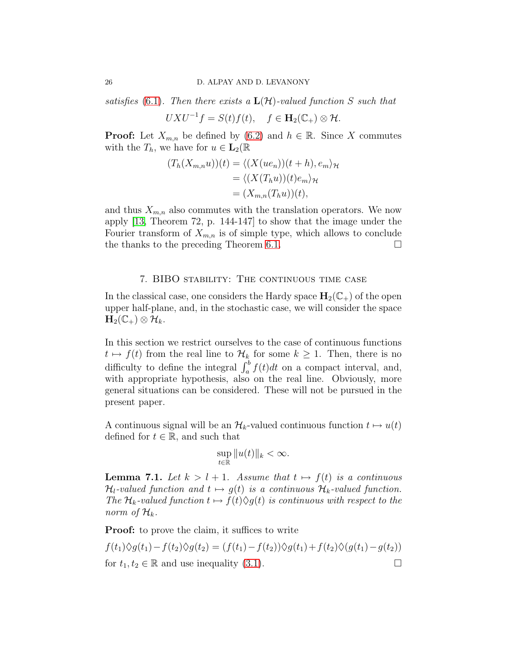*satisfies* [\(6.1\)](#page-24-1). Then there exists a  $\mathbf{L}(\mathcal{H})$ -valued function S such that

$$
UXU^{-1}f = S(t)f(t), \quad f \in \mathbf{H}_2(\mathbb{C}_+) \otimes \mathcal{H}.
$$

**Proof:** Let  $X_{m,n}$  be defined by [\(6.2\)](#page-25-3) and  $h \in \mathbb{R}$ . Since X commutes with the  $T_h$ , we have for  $u \in L_2(\mathbb{R})$ 

$$
(T_h(X_{m,n}u))(t) = \langle (X(ue_n))(t+h), e_m \rangle_{\mathcal{H}}
$$
  
=  $\langle (X(T_hu))(t)e_m \rangle_{\mathcal{H}}$   
=  $(X_{m,n}(T_hu))(t),$ 

and thus  $X_{m,n}$  also commutes with the translation operators. We now apply [\[13,](#page-35-13) Theorem 72, p. 144-147] to show that the image under the Fourier transform of  $X_{m,n}$  is of simple type, which allows to conclude the thanks to the preceding Theorem [6.1.](#page-24-2)  $\Box$ 

#### 7. BIBO stability: The continuous time case

<span id="page-27-0"></span>In the classical case, one considers the Hardy space  $H_2(\mathbb{C}_+)$  of the open upper half-plane, and, in the stochastic case, we will consider the space  $\mathbf{H}_2(\mathbb{C}_+) \otimes \mathcal{H}_k.$ 

In this section we restrict ourselves to the case of continuous functions  $t \mapsto f(t)$  from the real line to  $\mathcal{H}_k$  for some  $k \geq 1$ . Then, there is no difficulty to define the integral  $\int_a^b f(t)dt$  on a compact interval, and, with appropriate hypothesis, also on the real line. Obviously, more general situations can be considered. These will not be pursued in the present paper.

A continuous signal will be an  $\mathcal{H}_k$ -valued continuous function  $t \mapsto u(t)$ defined for  $t \in \mathbb{R}$ , and such that

$$
\sup_{t\in\mathbb{R}}\|u(t)\|_{k}<\infty.
$$

**Lemma 7.1.** Let  $k > l + 1$ . Assume that  $t \mapsto f(t)$  is a continuous  $\mathcal{H}_l$ -valued function and  $t \mapsto g(t)$  is a continuous  $\mathcal{H}_k$ -valued function. *The*  $\mathcal{H}_k$ -valued function  $t \mapsto f(t)\Diamond g(t)$  *is continuous with respect to the norm of*  $\mathcal{H}_k$ .

**Proof:** to prove the claim, it suffices to write

$$
f(t_1)\Diamond g(t_1) - f(t_2)\Diamond g(t_2) = (f(t_1) - f(t_2))\Diamond g(t_1) + f(t_2)\Diamond (g(t_1) - g(t_2))
$$
  
for  $t_1, t_2 \in \mathbb{R}$  and use inequality (3.1).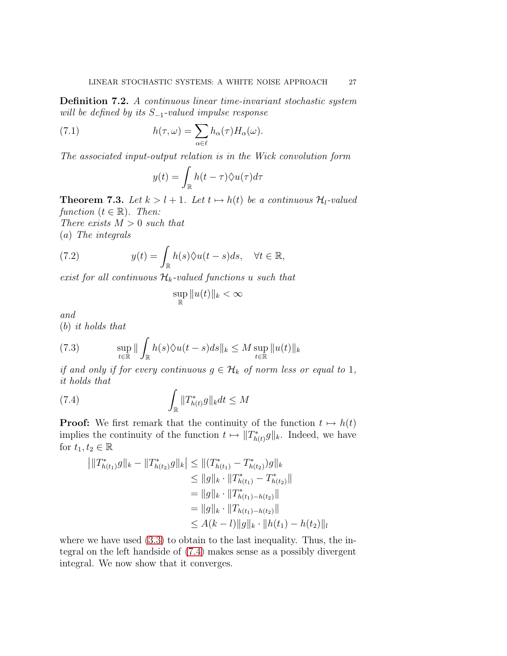Definition 7.2. *A continuous linear time-invariant stochastic system will be defined by its* S−1*-valued impulse response*

(7.1) 
$$
h(\tau,\omega) = \sum_{\alpha \in \ell} h_{\alpha}(\tau) H_{\alpha}(\omega).
$$

*The associated input-output relation is in the Wick convolution form*

$$
y(t) = \int_{\mathbb{R}} h(t - \tau) \Diamond u(\tau) d\tau
$$

**Theorem 7.3.** Let  $k > l + 1$ . Let  $t \mapsto h(t)$  be a continuous  $\mathcal{H}_l$ -valued *function*  $(t \in \mathbb{R})$ *. Then: There exists* M > 0 *such that*

(a) *The integrals*

(7.2) 
$$
y(t) = \int_{\mathbb{R}} h(s) \Diamond u(t-s) ds, \quad \forall t \in \mathbb{R},
$$

*exist for all continuous*  $\mathcal{H}_k$ -valued functions u such that

<span id="page-28-2"></span>
$$
\sup_{\mathbb{R}} \|u(t)\|_{k} < \infty
$$

*and*

(b) *it holds that*

<span id="page-28-1"></span>(7.3) 
$$
\sup_{t \in \mathbb{R}} \|\int_{\mathbb{R}} h(s) \Diamond u(t-s) ds \|_{k} \leq M \sup_{t \in \mathbb{R}} \|u(t)\|_{k}
$$

*if and only if for every continuous*  $g \in \mathcal{H}_k$  *of norm less or equal to* 1*, it holds that*

(7.4) 
$$
\int_{\mathbb{R}} \|T_{h(t)}^*g\|_k dt \leq M
$$

**Proof:** We first remark that the continuity of the function  $t \mapsto h(t)$ implies the continuity of the function  $t \mapsto ||T^*_{h(t)}g||_k$ . Indeed, we have for  $t_1, t_2 \in \mathbb{R}$ 

<span id="page-28-0"></span>
$$
\begin{aligned} |||T_{h(t_1)}^*g||_k - \|T_{h(t_2)}^*g||_k| &\le ||(T_{h(t_1)}^* - T_{h(t_2)}^*)g||_k \\ &\le ||g||_k \cdot \|T_{h(t_1)}^* - T_{h(t_2)}^*|| \\ &= ||g||_k \cdot \|T_{h(t_1) - h(t_2)}^*|| \\ &= ||g||_k \cdot \|T_{h(t_1) - h(t_2)}|| \\ &\le A(k-l) ||g||_k \cdot ||h(t_1) - h(t_2)||_l \end{aligned}
$$

where we have used  $(3.3)$  to obtain to the last inequality. Thus, the integral on the left handside of [\(7.4\)](#page-28-0) makes sense as a possibly divergent integral. We now show that it converges.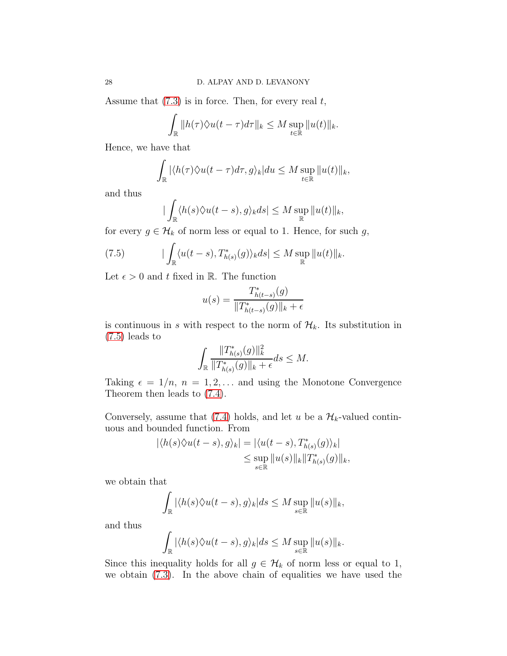Assume that  $(7.3)$  is in force. Then, for every real t,

$$
\int_{\mathbb{R}} \|h(\tau)\Diamond u(t-\tau)d\tau\|_{k} \leq M \sup_{t\in\mathbb{R}} \|u(t)\|_{k}.
$$

Hence, we have that

$$
\int_{\mathbb{R}} |\langle h(\tau) \langle u(t-\tau) d\tau, g \rangle_k| du \leq M \sup_{t \in \mathbb{R}} ||u(t)||_k,
$$

and thus

<span id="page-29-0"></span>
$$
|\int_{\mathbb{R}} \langle h(s)\Diamond u(t-s),g\rangle_k ds| \leq M \sup_{\mathbb{R}} \|u(t)\|_k,
$$

for every  $g \in \mathcal{H}_k$  of norm less or equal to 1. Hence, for such  $g$ ,

(7.5) 
$$
|\int_{\mathbb{R}} \langle u(t-s), T^*_{h(s)}(g) \rangle_k ds| \leq M \sup_{\mathbb{R}} ||u(t)||_k.
$$

Let  $\epsilon > 0$  and t fixed in R. The function

$$
u(s) = \frac{T^*_{h(t-s)}(g)}{\|T^*_{h(t-s)}(g)\|_k + \epsilon}
$$

is continuous in s with respect to the norm of  $\mathcal{H}_k$ . Its substitution in [\(7.5\)](#page-29-0) leads to

$$
\int_{\mathbb{R}} \frac{\|T^*_{h(s)}(g)\|_{k}^2}{\|T^*_{h(s)}(g)\|_{k} + \epsilon} ds \leq M.
$$

Taking  $\epsilon = 1/n$ ,  $n = 1, 2, \ldots$  and using the Monotone Convergence Theorem then leads to [\(7.4\)](#page-28-0).

Conversely, assume that [\(7.4\)](#page-28-0) holds, and let u be a  $\mathcal{H}_k$ -valued continuous and bounded function. From

$$
|\langle h(s)\Diamond u(t-s),g\rangle_k| = |\langle u(t-s),T^*_{h(s)}(g)\rangle_k|
$$
  

$$
\leq \sup_{s\in\mathbb{R}} ||u(s)||_k ||T^*_{h(s)}(g)||_k,
$$

we obtain that

$$
\int_{\mathbb{R}} |\langle h(s) \hat{\vee} u(t-s), g \rangle_{k}| ds \leq M \sup_{s \in \mathbb{R}} \|u(s)\|_{k},
$$

and thus

$$
\int_{\mathbb{R}} |\langle h(s) \lozenge u(t-s), g \rangle_k| ds \leq M \sup_{s \in \mathbb{R}} ||u(s)||_k.
$$

Since this inequality holds for all  $g \in \mathcal{H}_k$  of norm less or equal to 1, we obtain [\(7.3\)](#page-28-1). In the above chain of equalities we have used the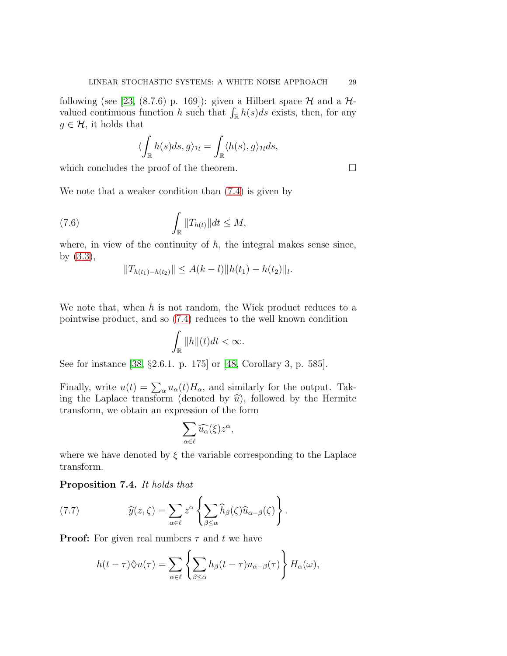following (see [\[23,](#page-36-17) (8.7.6) p. 169]): given a Hilbert space  $\mathcal H$  and a  $\mathcal H$ valued continuous function h such that  $\int_{\mathbb{R}} h(s)ds$  exists, then, for any  $g \in \mathcal{H}$ , it holds that

$$
\langle \int_{\mathbb{R}} h(s)ds, g \rangle_{\mathcal{H}} = \int_{\mathbb{R}} \langle h(s), g \rangle_{\mathcal{H}} ds,
$$

which concludes the proof of the theorem.  $\Box$ 

We note that a weaker condition than [\(7.4\)](#page-28-0) is given by

(7.6) 
$$
\int_{\mathbb{R}} \|T_{h(t)}\| dt \leq M,
$$

where, in view of the continuity of  $h$ , the integral makes sense since, by [\(3.3\)](#page-13-2),

$$
||T_{h(t_1)-h(t_2)}|| \leq A(k-l)||h(t_1)-h(t_2)||_l.
$$

We note that, when  $h$  is not random, the Wick product reduces to a pointwise product, and so [\(7.4\)](#page-28-0) reduces to the well known condition

$$
\int_{\mathbb{R}} \|h\|(t)dt < \infty.
$$

See for instance [\[38,](#page-36-1) §2.6.1. p. 175] or [\[48,](#page-37-9) Corollary 3, p. 585].

Finally, write  $u(t) = \sum_{\alpha} u_{\alpha}(t) H_{\alpha}$ , and similarly for the output. Taking the Laplace transform (denoted by  $\hat{u}$ ), followed by the Hermite transform, we obtain an expression of the form

$$
\sum_{\alpha\in\ell}\widehat{u_\alpha}(\xi)z^\alpha,
$$

where we have denoted by  $\xi$  the variable corresponding to the Laplace transform.

#### Proposition 7.4. *It holds that*

(7.7) 
$$
\widehat{y}(z,\zeta) = \sum_{\alpha \in \ell} z^{\alpha} \left\{ \sum_{\beta \leq \alpha} \widehat{h}_{\beta}(\zeta) \widehat{u}_{\alpha-\beta}(\zeta) \right\}.
$$

**Proof:** For given real numbers  $\tau$  and t we have

<span id="page-30-0"></span>
$$
h(t-\tau)\Diamond u(\tau) = \sum_{\alpha \in \ell} \left\{ \sum_{\beta \leq \alpha} h_{\beta}(t-\tau)u_{\alpha-\beta}(\tau) \right\} H_{\alpha}(\omega),
$$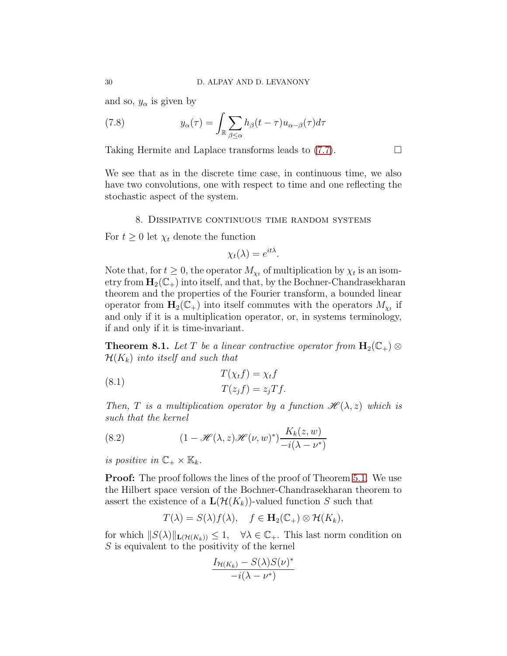and so,  $y_{\alpha}$  is given by

(7.8) 
$$
y_{\alpha}(\tau) = \int_{\mathbb{R}} \sum_{\beta \leq \alpha} h_{\beta}(t - \tau) u_{\alpha - \beta}(\tau) d\tau
$$

Taking Hermite and Laplace transforms leads to  $(7.7)$ .

We see that as in the discrete time case, in continuous time, we also have two convolutions, one with respect to time and one reflecting the stochastic aspect of the system.

#### 8. Dissipative continuous time random systems

<span id="page-31-0"></span>For  $t \geq 0$  let  $\chi_t$  denote the function

$$
\chi_t(\lambda) = e^{it\lambda}.
$$

Note that, for  $t \geq 0$ , the operator  $M_{\chi_t}$  of multiplication by  $\chi_t$  is an isometry from  $H_2(\mathbb{C}_+)$  into itself, and that, by the Bochner-Chandrasekharan theorem and the properties of the Fourier transform, a bounded linear operator from  $\mathbf{H}_{2}(\mathbb{C}_{+})$  into itself commutes with the operators  $M_{\chi_{t}}$  if and only if it is a multiplication operator, or, in systems terminology, if and only if it is time-invariant.

**Theorem 8.1.** *Let* T *be a linear contractive operator from*  $H_2(\mathbb{C}_+) \otimes$  $\mathcal{H}(K_k)$  *into itself and such that* 

(8.1) 
$$
T(\chi_t f) = \chi_t f
$$

$$
T(z_j f) = z_j T f.
$$

*Then, T is a multiplication operator by a function*  $\mathcal{H}(\lambda, z)$  *which is such that the kernel*

<span id="page-31-1"></span>(8.2) 
$$
(1 - \mathcal{H}(\lambda, z) \mathcal{H}(\nu, w)^*) \frac{K_k(z, w)}{-i(\lambda - \nu^*)}
$$

*is positive in*  $\mathbb{C}_+ \times \mathbb{K}_k$ .

**Proof:** The proof follows the lines of the proof of Theorem [5.1.](#page-19-1) We use the Hilbert space version of the Bochner-Chandrasekharan theorem to assert the existence of a  $\mathbf{L}(\mathcal{H}(K_k))$ -valued function S such that

$$
T(\lambda) = S(\lambda) f(\lambda), \quad f \in \mathbf{H}_2(\mathbb{C}_+) \otimes \mathcal{H}(K_k),
$$

for which  $||S(\lambda)||_{\mathbf{L}(\mathcal{H}(K_k))} \leq 1$ ,  $\forall \lambda \in \mathbb{C}_+$ . This last norm condition on S is equivalent to the positivity of the kernel

$$
\frac{I_{\mathcal{H}(K_k)} - S(\lambda)S(\nu)^*}{-i(\lambda - \nu^*)}
$$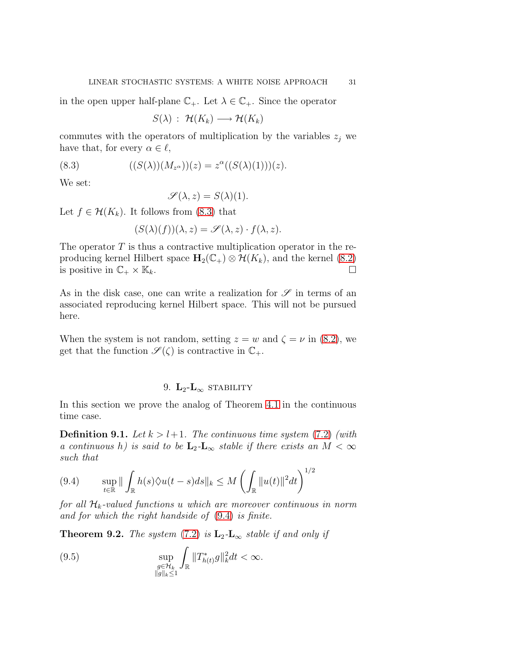in the open upper half-plane  $\mathbb{C}_+$ . Let  $\lambda \in \mathbb{C}_+$ . Since the operator

<span id="page-32-1"></span>
$$
S(\lambda) : \mathcal{H}(K_k) \longrightarrow \mathcal{H}(K_k)
$$

commutes with the operators of multiplication by the variables  $z_i$  we have that, for every  $\alpha \in \ell$ ,

(8.3) 
$$
((S(\lambda))(M_{z^{\alpha}}))(z) = z^{\alpha}((S(\lambda)(1)))(z).
$$

We set:

$$
\mathscr{S}(\lambda, z) = S(\lambda)(1).
$$

Let  $f \in \mathcal{H}(K_k)$ . It follows from [\(8.3\)](#page-32-1) that

$$
(S(\lambda)(f))(\lambda, z) = \mathscr{S}(\lambda, z) \cdot f(\lambda, z).
$$

The operator  $T$  is thus a contractive multiplication operator in the reproducing kernel Hilbert space  $\mathbf{H}_2(\mathbb{C}_+) \otimes \mathcal{H}(K_k)$ , and the kernel [\(8.2\)](#page-31-1) is positive in  $\mathbb{C}_+ \times \mathbb{K}_k$ . is positive in  $\mathbb{C}_+ \times \mathbb{K}_k$ .

As in the disk case, one can write a realization for  $\mathscr S$  in terms of an associated reproducing kernel Hilbert space. This will not be pursued here.

When the system is not random, setting  $z = w$  and  $\zeta = \nu$  in [\(8.2\)](#page-31-1), we get that the function  $\mathscr{S}(\zeta)$  is contractive in  $\mathbb{C}_+$ .

#### 9.  $L_2-L_\infty$  stability

<span id="page-32-0"></span>In this section we prove the analog of Theorem [4.1](#page-17-0) in the continuous time case.

**Definition 9.1.** Let  $k > l+1$ . The continuous time system [\(7.2\)](#page-28-2) (with *a continuous* h) is said to be  $L_2$ - $L_{\infty}$  *stable if there exists an*  $M < \infty$ *such that*

<span id="page-32-2"></span>
$$
(9.4) \qquad \sup_{t \in \mathbb{R}} \|\int_{\mathbb{R}} h(s)\Diamond u(t-s)ds\|_{k} \le M \left(\int_{\mathbb{R}} \|u(t)\|^{2}dt\right)^{1/2}
$$

*for all*  $\mathcal{H}_k$ -valued functions u which are moreover continuous in norm *and for which the right handside of* [\(9.4\)](#page-32-2) *is finite.*

**Theorem 9.2.** *The system* [\(7.2\)](#page-28-2) *is*  $\mathbf{L}_2$ - $\mathbf{L}_{\infty}$  *stable if and only if* 

<span id="page-32-3"></span>(9.5) 
$$
\sup_{\substack{g\in\mathcal{H}_k\\||g||_k\leq 1}} \int_{\mathbb{R}} ||T^*_{h(t)}g||_k^2 dt < \infty.
$$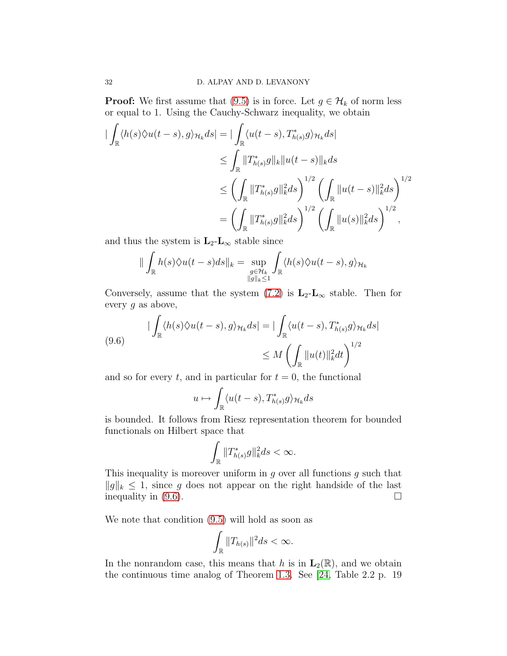**Proof:** We first assume that [\(9.5\)](#page-32-3) is in force. Let  $g \in \mathcal{H}_k$  of norm less or equal to 1. Using the Cauchy-Schwarz inequality, we obtain

$$
\begin{split} \|\int_{\mathbb{R}} \langle h(s) \Diamond u(t-s), g \rangle_{\mathcal{H}_k} ds \| &= \|\int_{\mathbb{R}} \langle u(t-s), T^*_{h(s)} g \rangle_{\mathcal{H}_k} ds \| \\ &\leq \int_{\mathbb{R}} \|T^*_{h(s)} g\|_{k} \|u(t-s)\|_{k} ds \\ &\leq \left(\int_{\mathbb{R}} \|T^*_{h(s)} g\|_{k}^2 ds\right)^{1/2} \left(\int_{\mathbb{R}} \|u(t-s)\|_{k}^2 ds\right)^{1/2} \\ &= \left(\int_{\mathbb{R}} \|T^*_{h(s)} g\|_{k}^2 ds\right)^{1/2} \left(\int_{\mathbb{R}} \|u(s)\|_{k}^2 ds\right)^{1/2}, \end{split}
$$

and thus the system is  $L_2-L_\infty$  stable since

$$
\|\int_{\mathbb{R}}h(s)\Diamond u(t-s)ds\|_{k}=\sup_{\substack{g\in \mathcal{H}_{k}\\ \|g\|_{k}\leq 1}}\int_{\mathbb{R}}\langle h(s)\Diamond u(t-s),g\rangle_{\mathcal{H}_{k}}
$$

Conversely, assume that the system  $(7.2)$  is  $L_2-L_{\infty}$  stable. Then for every  $g$  as above,

<span id="page-33-0"></span>(9.6) 
$$
\begin{aligned} \left| \int_{\mathbb{R}} \langle h(s) \Diamond u(t-s), g \rangle_{\mathcal{H}_k} ds \right| &= \left| \int_{\mathbb{R}} \langle u(t-s), T^*_{h(s)} g \rangle_{\mathcal{H}_k} ds \right| \\ &\leq M \left( \int_{\mathbb{R}} ||u(t)||_k^2 dt \right)^{1/2} \end{aligned}
$$

and so for every t, and in particular for  $t = 0$ , the functional

$$
u \mapsto \int_{\mathbb{R}} \langle u(t-s), T^*_{h(s)}g \rangle_{\mathcal{H}_k} ds
$$

is bounded. It follows from Riesz representation theorem for bounded functionals on Hilbert space that

$$
\int_{\mathbb{R}} \|T_{h(s)}^*g\|_k^2 ds < \infty.
$$

This inequality is moreover uniform in  $g$  over all functions  $g$  such that  $||g||_k$  ≤ 1, since g does not appear on the right handside of the last inequality in (9.6). inequality in [\(9.6\)](#page-33-0).

We note that condition [\(9.5\)](#page-32-3) will hold as soon as

$$
\int_{\mathbb{R}} \|T_{h(s)}\|^2 ds < \infty.
$$

In the nonrandom case, this means that h is in  $\mathbf{L}_2(\mathbb{R})$ , and we obtain the continuous time analog of Theorem [1.3.](#page-7-0) See [\[24,](#page-36-3) Table 2.2 p. 19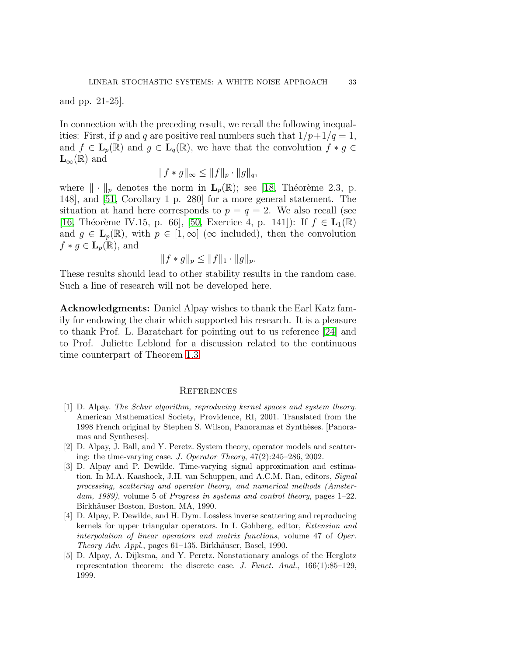and pp. 21-25].

In connection with the preceding result, we recall the following inequalities: First, if p and q are positive real numbers such that  $1/p+1/q=1$ , and  $f \in L_p(\mathbb{R})$  and  $g \in L_q(\mathbb{R})$ , we have that the convolution  $f * g \in L_q(\mathbb{R})$  $\mathbf{L}_{\infty}(\mathbb{R})$  and

$$
||f * g||_{\infty} \leq ||f||_p \cdot ||g||_q,
$$

where  $\|\cdot\|_p$  denotes the norm in  $\mathbf{L}_p(\mathbb{R})$ ; see [\[18,](#page-35-15) Théorème 2.3, p. 148], and [\[51,](#page-37-10) Corollary 1 p. 280] for a more general statement. The situation at hand here corresponds to  $p = q = 2$ . We also recall (see [\[16,](#page-35-16) Théorème IV.15, p. 66], [\[50,](#page-37-11) Exercice 4, p. 141]): If  $f \in L_1(\mathbb{R})$ and  $g \in L_p(\mathbb{R})$ , with  $p \in [1,\infty]$  ( $\infty$  included), then the convolution  $f * g \in \mathbf{L}_{p}(\mathbb{R})$ , and

$$
||f * g||_p \le ||f||_1 \cdot ||g||_p.
$$

These results should lead to other stability results in the random case. Such a line of research will not be developed here.

Acknowledgments: Daniel Alpay wishes to thank the Earl Katz family for endowing the chair which supported his research. It is a pleasure to thank Prof. L. Baratchart for pointing out to us reference [\[24\]](#page-36-3) and to Prof. Juliette Leblond for a discussion related to the continuous time counterpart of Theorem [1.3.](#page-7-0)

#### **REFERENCES**

- <span id="page-34-1"></span><span id="page-34-0"></span>[1] D. Alpay. *The Schur algorithm, reproducing kernel spaces and system theory*. American Mathematical Society, Providence, RI, 2001. Translated from the 1998 French original by Stephen S. Wilson, Panoramas et Synth`eses. [Panoramas and Syntheses].
- <span id="page-34-4"></span>[2] D. Alpay, J. Ball, and Y. Peretz. System theory, operator models and scattering: the time-varying case. *J. Operator Theory*, 47(2):245–286, 2002.
- <span id="page-34-2"></span>[3] D. Alpay and P. Dewilde. Time-varying signal approximation and estimation. In M.A. Kaashoek, J.H. van Schuppen, and A.C.M. Ran, editors, *Signal processing, scattering and operator theory, and numerical methods (Amsterdam, 1989)*, volume 5 of *Progress in systems and control theory*, pages 1–22. Birkhäuser Boston, Boston, MA, 1990.
- <span id="page-34-3"></span>[4] D. Alpay, P. Dewilde, and H. Dym. Lossless inverse scattering and reproducing kernels for upper triangular operators. In I. Gohberg, editor, *Extension and interpolation of linear operators and matrix functions*, volume 47 of *Oper. Theory Adv. Appl.*, pages 61–135. Birkhäuser, Basel, 1990.
- <span id="page-34-5"></span>[5] D. Alpay, A. Dijksma, and Y. Peretz. Nonstationary analogs of the Herglotz representation theorem: the discrete case. *J. Funct. Anal.*, 166(1):85–129, 1999.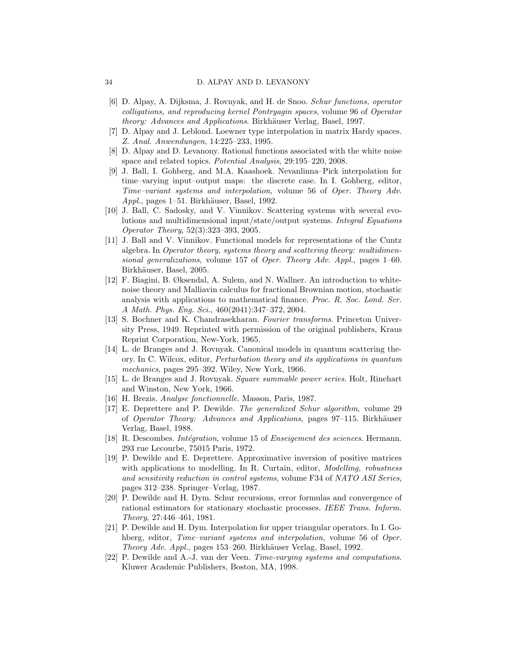- [6] D. Alpay, A. Dijksma, J. Rovnyak, and H. de Snoo. *Schur functions, operator colligations, and reproducing kernel Pontryagin spaces*, volume 96 of *Operator theory: Advances and Applications.* Birkhäuser Verlag, Basel, 1997.
- <span id="page-35-12"></span><span id="page-35-8"></span>[7] D. Alpay and J. Leblond. Loewner type interpolation in matrix Hardy spaces. *Z. Anal. Anwendungen*, 14:225–233, 1995.
- <span id="page-35-4"></span>[8] D. Alpay and D. Levanony. Rational functions associated with the white noise space and related topics. *Potential Analysis*, 29:195–220, 2008.
- [9] J. Ball, I. Gohberg, and M.A. Kaashoek. Nevanlinna–Pick interpolation for time–varying input–output maps: the discrete case. In I. Gohberg, editor, *Time–variant systems and interpolation*, volume 56 of *Oper. Theory Adv. Appl.*, pages 1–51. Birkhäuser, Basel, 1992.
- <span id="page-35-6"></span>[10] J. Ball, C. Sadosky, and V. Vinnikov. Scattering systems with several evolutions and multidimensional input/state/output systems. *Integral Equations Operator Theory*, 52(3):323–393, 2005.
- <span id="page-35-7"></span>[11] J. Ball and V. Vinnikov. Functional models for representations of the Cuntz algebra. In *Operator theory, systems theory and scattering theory: multidimensional generalizations*, volume 157 of *Oper. Theory Adv. Appl.*, pages 1–60. Birkhäuser, Basel, 2005.
- <span id="page-35-11"></span>[12] F. Biagini, B. Øksendal, A. Sulem, and N. Wallner. An introduction to whitenoise theory and Malliavin calculus for fractional Brownian motion, stochastic analysis with applications to mathematical finance. *Proc. R. Soc. Lond. Ser. A Math. Phys. Eng. Sci.*, 460(2041):347–372, 2004.
- <span id="page-35-13"></span>[13] S. Bochner and K. Chandrasekharan. *Fourier transforms*. Princeton University Press, 1949. Reprinted with permission of the original publishers, Kraus Reprint Corporation, New-York, 1965.
- <span id="page-35-9"></span>[14] L. de Branges and J. Rovnyak. Canonical models in quantum scattering theory. In C. Wilcox, editor, *Perturbation theory and its applications in quantum mechanics*, pages 295–392. Wiley, New York, 1966.
- <span id="page-35-10"></span>[15] L. de Branges and J. Rovnyak. *Square summable power series*. Holt, Rinehart and Winston, New York, 1966.
- <span id="page-35-16"></span><span id="page-35-1"></span>[16] H. Brezis. *Analyse fonctionnelle*. Masson, Paris, 1987.
- [17] E. Deprettere and P. Dewilde. *The generalized Schur algorithm*, volume 29 of *Operator Theory: Advances and Applications*, pages 97–115. Birkhäuser Verlag, Basel, 1988.
- <span id="page-35-15"></span><span id="page-35-2"></span>[18] R. Descombes. *Int´egration*, volume 15 of *Enseigement des sciences*. Hermann. 293 rue Lecourbe, 75015 Paris, 1972.
- [19] P. Dewilde and E. Deprettere. Approximative inversion of positive matrices with applications to modelling. In R. Curtain, editor, *Modelling, robustness and sensitivity reduction in control systems*, volume F34 of *NATO ASI Series*, pages 312–238. Springer–Verlag, 1987.
- <span id="page-35-0"></span>[20] P. Dewilde and H. Dym. Schur recursions, error formulas and convergence of rational estimators for stationary stochastic processes. *IEEE Trans. Inform. Theory*, 27:446–461, 1981.
- <span id="page-35-3"></span>[21] P. Dewilde and H. Dym. Interpolation for upper triangular operators. In I. Gohberg, editor, *Time–variant systems and interpolation*, volume 56 of *Oper. Theory Adv. Appl.*, pages 153–260. Birkhäuser Verlag, Basel, 1992.
- <span id="page-35-5"></span>[22] P. Dewilde and A.-J. van der Veen. *Time-varying systems and computations*. Kluwer Academic Publishers, Boston, MA, 1998.

<span id="page-35-14"></span>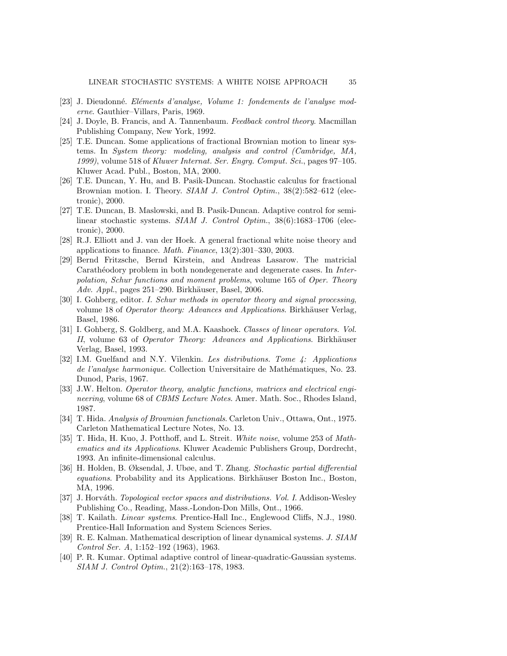- <span id="page-36-17"></span><span id="page-36-3"></span>[23] J. Dieudonn´e. *El´ements d'analyse, Volume 1: fondements de l'analyse moderne*. Gauthier–Villars, Paris, 1969.
- <span id="page-36-9"></span>[24] J. Doyle, B. Francis, and A. Tannenbaum. *Feedback control theory*. Macmillan Publishing Company, New York, 1992.
- [25] T.E. Duncan. Some applications of fractional Brownian motion to linear systems. In *System theory: modeling, analysis and control (Cambridge, MA, 1999)*, volume 518 of *Kluwer Internat. Ser. Engrg. Comput. Sci.*, pages 97–105. Kluwer Acad. Publ., Boston, MA, 2000.
- <span id="page-36-10"></span>[26] T.E. Duncan, Y. Hu, and B. Pasik-Duncan. Stochastic calculus for fractional Brownian motion. I. Theory. *SIAM J. Control Optim.*, 38(2):582–612 (electronic), 2000.
- <span id="page-36-11"></span>[27] T.E. Duncan, B. Maslowski, and B. Pasik-Duncan. Adaptive control for semilinear stochastic systems. *SIAM J. Control Optim.*, 38(6):1683–1706 (electronic), 2000.
- <span id="page-36-14"></span>[28] R.J. Elliott and J. van der Hoek. A general fractional white noise theory and applications to finance. *Math. Finance*, 13(2):301–330, 2003.
- <span id="page-36-4"></span>[29] Bernd Fritzsche, Bernd Kirstein, and Andreas Lasarow. The matricial Carath<sup>eodory</sup> problem in both nondegenerate and degenerate cases. In *Interpolation, Schur functions and moment problems*, volume 165 of *Oper. Theory Adv. Appl.*, pages 251–290. Birkhäuser, Basel, 2006.
- <span id="page-36-5"></span>[30] I. Gohberg, editor. *I. Schur methods in operator theory and signal processing*, volume 18 of *Operator theory: Advances and Applications*. Birkhäuser Verlag, Basel, 1986.
- <span id="page-36-13"></span>[31] I. Gohberg, S. Goldberg, and M.A. Kaashoek. *Classes of linear operators. Vol. II*, volume 63 of *Operator Theory: Advances and Applications*. Birkhäuser Verlag, Basel, 1993.
- <span id="page-36-15"></span>[32] I.M. Guelfand and N.Y. Vilenkin. *Les distributions. Tome 4: Applications de l'analyse harmonique*. Collection Universitaire de Math´ematiques, No. 23. Dunod, Paris, 1967.
- <span id="page-36-2"></span>[33] J.W. Helton. *Operator theory, analytic functions, matrices and electrical engineering*, volume 68 of *CBMS Lecture Notes*. Amer. Math. Soc., Rhodes Island, 1987.
- <span id="page-36-6"></span>[34] T. Hida. *Analysis of Brownian functionals*. Carleton Univ., Ottawa, Ont., 1975. Carleton Mathematical Lecture Notes, No. 13.
- <span id="page-36-7"></span>[35] T. Hida, H. Kuo, J. Potthoff, and L. Streit. *White noise*, volume 253 of *Mathematics and its Applications*. Kluwer Academic Publishers Group, Dordrecht, 1993. An infinite-dimensional calculus.
- <span id="page-36-8"></span>[36] H. Holden, B. Øksendal, J. Ubøe, and T. Zhang. *Stochastic partial differential equations*. Probability and its Applications. Birkhäuser Boston Inc., Boston, MA, 1996.
- <span id="page-36-16"></span>[37] J. Horváth. *Topological vector spaces and distributions. Vol. I.* Addison-Wesley Publishing Co., Reading, Mass.-London-Don Mills, Ont., 1966.
- <span id="page-36-1"></span>[38] T. Kailath. *Linear systems*. Prentice-Hall Inc., Englewood Cliffs, N.J., 1980. Prentice-Hall Information and System Sciences Series.
- <span id="page-36-0"></span>[39] R. E. Kalman. Mathematical description of linear dynamical systems. *J. SIAM Control Ser. A*, 1:152–192 (1963), 1963.
- <span id="page-36-12"></span>[40] P. R. Kumar. Optimal adaptive control of linear-quadratic-Gaussian systems. *SIAM J. Control Optim.*, 21(2):163–178, 1983.